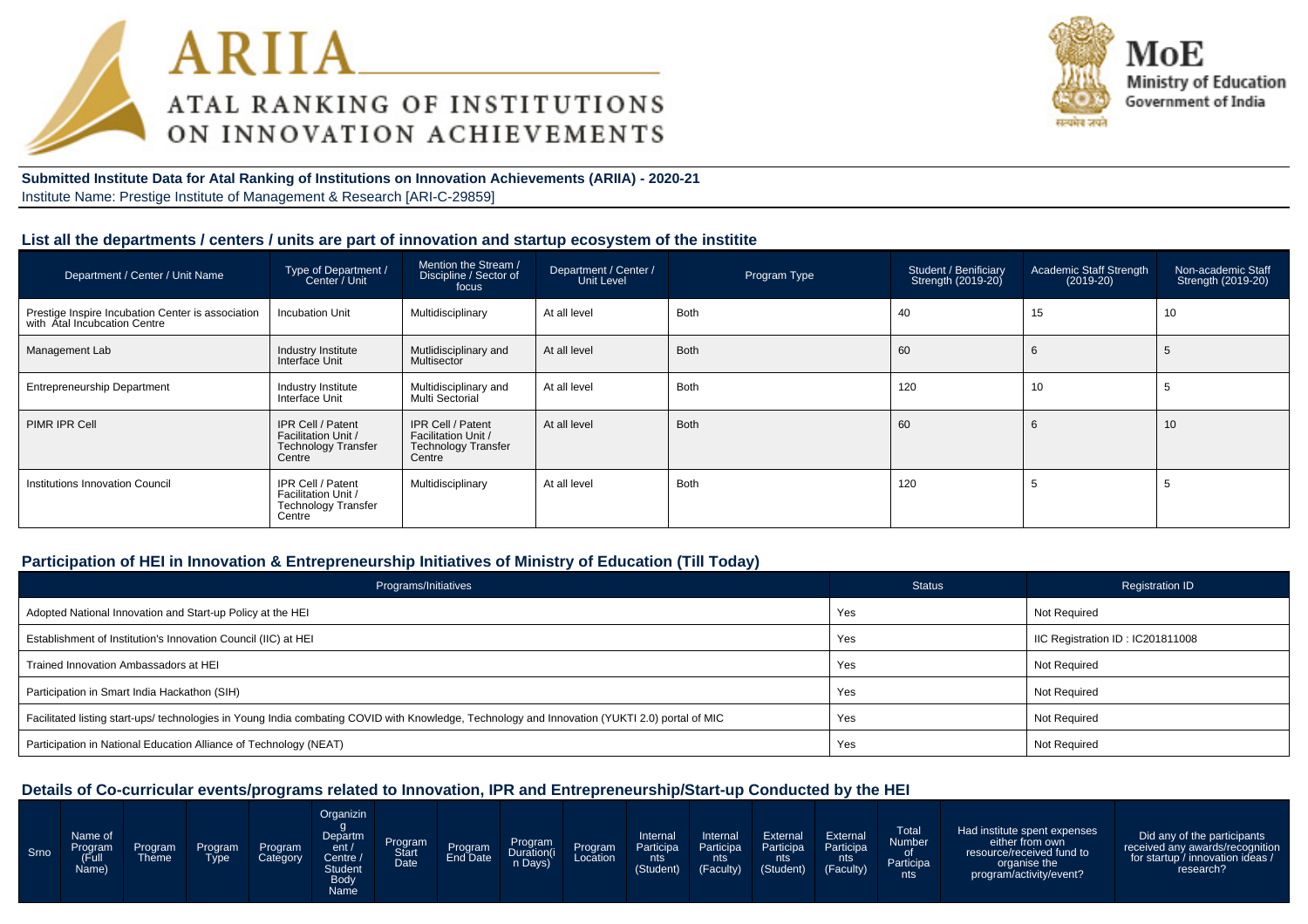



**Submitted Institute Data for Atal Ranking of Institutions on Innovation Achievements (ARIIA) - 2020-21**Institute Name: Prestige Institute of Management & Research [ARI-C-29859]

### **List all the departments / centers / units are part of innovation and startup ecosystem of the institite**

| Department / Center / Unit Name                                                   | Type of Department /<br>Center / Unit                                            | Mention the Stream /<br>Discipline / Sector of<br>focus                          | Department / Center<br>  Unit Level | Program Type | Student / Benificiary<br>Strength (2019-20) | <b>Academic Staff Strength</b><br>$(2019-20)$ | Non-academic Staff<br>Strength (2019-20) |
|-----------------------------------------------------------------------------------|----------------------------------------------------------------------------------|----------------------------------------------------------------------------------|-------------------------------------|--------------|---------------------------------------------|-----------------------------------------------|------------------------------------------|
| Prestige Inspire Incubation Center is association<br>with Atal Incubcation Centre | <b>Incubation Unit</b>                                                           | Multidisciplinary                                                                | At all level                        | <b>Both</b>  | 40                                          | 15                                            | 10                                       |
| Management Lab                                                                    | Industry Institute<br>Interface Unit                                             | Mutlidisciplinary and<br>Multisector                                             | At all level                        | <b>Both</b>  | 60                                          |                                               | 5                                        |
| <b>Entrepreneurship Department</b>                                                | Industry Institute<br>Interface Unit                                             | Multidisciplinary and<br>Multi Sectorial                                         | At all level                        | <b>Both</b>  | 120                                         | 10                                            | 5                                        |
| PIMR IPR Cell                                                                     | IPR Cell / Patent<br>Facilitation Unit /<br><b>Technology Transfer</b><br>Centre | IPR Cell / Patent<br>Facilitation Unit /<br><b>Technology Transfer</b><br>Centre | At all level                        | <b>Both</b>  | 60                                          |                                               | 10                                       |
| Institutions Innovation Council                                                   | IPR Cell / Patent<br>Facilitation Unit /<br><b>Technology Transfer</b><br>Centre | Multidisciplinary                                                                | At all level                        | <b>Both</b>  | 120                                         |                                               | Ð                                        |

## **Participation of HEI in Innovation & Entrepreneurship Initiatives of Ministry of Education (Till Today)**

| Programs/Initiatives                                                                                                                           | <b>Status</b> | <b>Registration ID</b>           |
|------------------------------------------------------------------------------------------------------------------------------------------------|---------------|----------------------------------|
| Adopted National Innovation and Start-up Policy at the HEI                                                                                     | Yes           | Not Required                     |
| Establishment of Institution's Innovation Council (IIC) at HEI                                                                                 | Yes           | IIC Registration ID: IC201811008 |
| Trained Innovation Ambassadors at HEI                                                                                                          | Yes           | Not Required                     |
| Participation in Smart India Hackathon (SIH)                                                                                                   | Yes           | Not Required                     |
| Facilitated listing start-ups/ technologies in Young India combating COVID with Knowledge, Technology and Innovation (YUKTI 2.0) portal of MIC | Yes           | Not Required                     |
| Participation in National Education Alliance of Technology (NEAT)                                                                              | Yes           | Not Required                     |

#### **Details of Co-curricular events/programs related to Innovation, IPR and Entrepreneurship/Start-up Conducted by the HEI**

| Srno | Name of<br>Program<br>(Full<br>Name) | Program<br>Theme | Program<br><b>Type</b> | <b>Program</b><br>Category | Organizin<br>Departm<br>ent /<br>Centre /<br><b>Student</b><br>Body<br>Name | Program<br>Start<br>Date | Program<br>End Date | Program<br>Duration(i<br>n Days) | Program<br>Location | Internal<br>Participa<br>nts<br>(Student) | Internal<br>Participa<br>nts<br>(Faculty) | External<br>Participa<br>nts<br>(Student) | External<br>Participa<br>nts.<br>(Faculty) | Total<br>Number<br>0f<br>Participa<br>nts | Had institute spent expenses<br>either from own<br>resource/received fund to<br>organise the<br>program/activity/event? | Did any of the participants<br>received any awards/recognition<br>for startup / innovation ideas /<br>research? |
|------|--------------------------------------|------------------|------------------------|----------------------------|-----------------------------------------------------------------------------|--------------------------|---------------------|----------------------------------|---------------------|-------------------------------------------|-------------------------------------------|-------------------------------------------|--------------------------------------------|-------------------------------------------|-------------------------------------------------------------------------------------------------------------------------|-----------------------------------------------------------------------------------------------------------------|
|------|--------------------------------------|------------------|------------------------|----------------------------|-----------------------------------------------------------------------------|--------------------------|---------------------|----------------------------------|---------------------|-------------------------------------------|-------------------------------------------|-------------------------------------------|--------------------------------------------|-------------------------------------------|-------------------------------------------------------------------------------------------------------------------------|-----------------------------------------------------------------------------------------------------------------|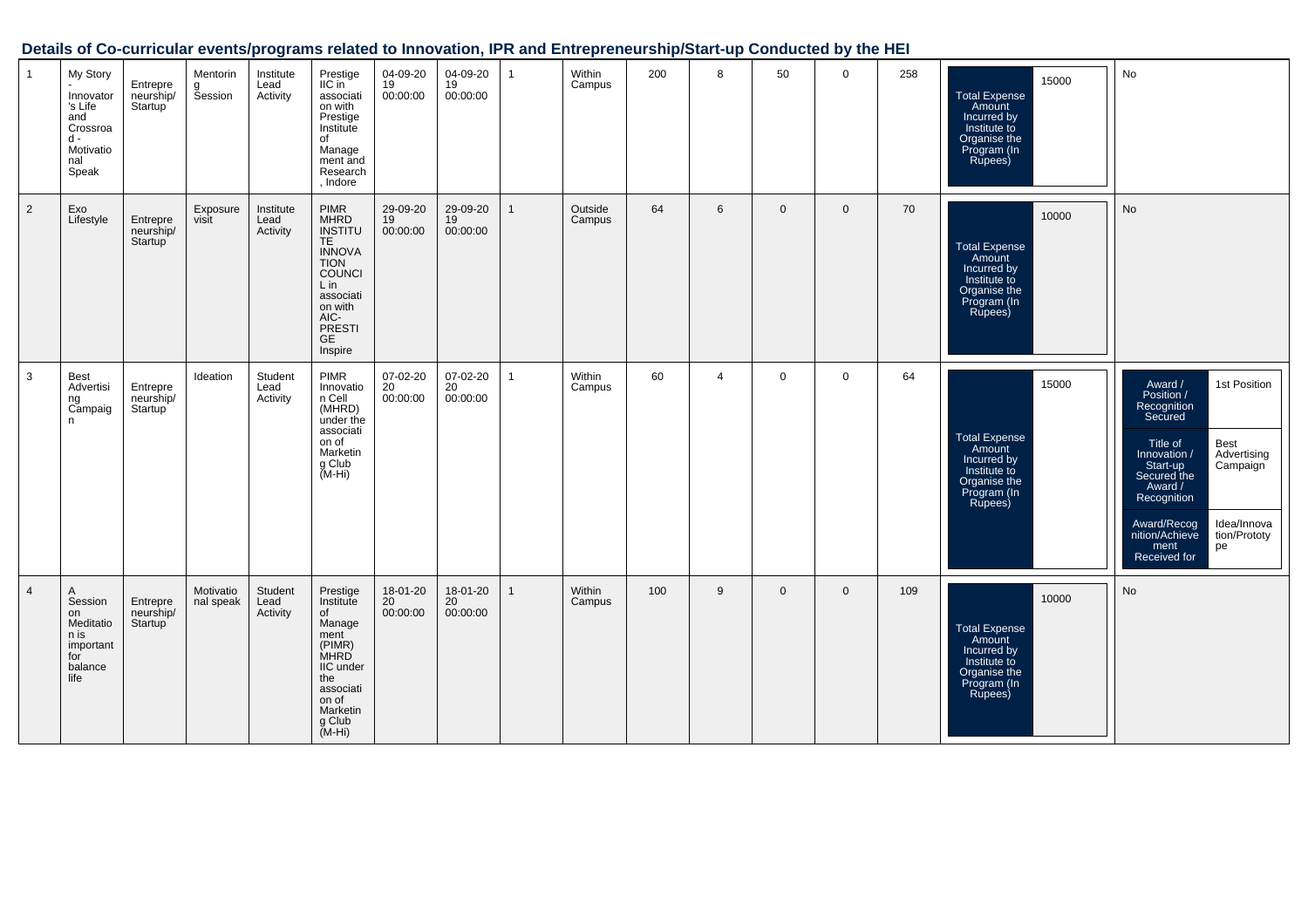## **Details of Co-curricular events/programs related to Innovation, IPR and Entrepreneurship/Start-up Conducted by the HEI**

| $\overline{1}$ | My Story<br>Innovator<br>'s Life<br>and<br>Crossroa<br>$d -$<br>Motivatio<br>nal<br>Speak | Entrepre<br>neurship/<br>Startup              | Mentorin<br>g<br>Session | Institute<br>Lead<br>Activity | Prestige<br>$\textsf{IIC}$ in<br>associati<br>on with<br>Prestige<br>Institute<br>of<br>Manage<br>ment and<br>Research<br>, Indore                                                   | 04-09-20<br>19<br>00:00:00              | 04-09-20<br>19<br>00:00:00              | $\mathbf{1}$ | Within<br>Campus  | 200 | 8              | 50           | $\mathbf 0$ | 258 | 15000<br><b>Total Expense</b><br>Amount<br>Incurred by<br>Institute to<br>Organise the<br>Program (In<br>Rupees) | No                                                                                                                                                                                                                                                                                |
|----------------|-------------------------------------------------------------------------------------------|-----------------------------------------------|--------------------------|-------------------------------|--------------------------------------------------------------------------------------------------------------------------------------------------------------------------------------|-----------------------------------------|-----------------------------------------|--------------|-------------------|-----|----------------|--------------|-------------|-----|------------------------------------------------------------------------------------------------------------------|-----------------------------------------------------------------------------------------------------------------------------------------------------------------------------------------------------------------------------------------------------------------------------------|
| 2              | Exo<br>Lifestyle                                                                          | Entrepre<br>neurship/<br>Startup <sup>1</sup> | Exposure<br>visit        | Institute<br>Lead<br>Activity | <b>PIMR</b><br><b>MHRD</b><br><b>INSTITU</b><br>TE.<br><b>INNOVA</b><br><b>TION</b><br><b>COUNCI</b><br>Lin<br>associati<br>on with<br>AIC-<br><b>PRESTI</b><br><b>GE</b><br>Inspire | 29-09-20<br>19<br>00:00:00              | 29-09-20<br>19<br>00:00:00              |              | Outside<br>Campus | 64  | 6              | $\mathbf{0}$ | $\Omega$    | 70  | 10000<br><b>Total Expense</b><br>Amount<br>Incurred by<br>Institute to<br>Organise the<br>Program (In<br>Rupees) | No                                                                                                                                                                                                                                                                                |
| 3              | <b>Best</b><br>Advertisi<br>ng<br>Campaig<br>n                                            | Entrepre<br>neurship/<br>Startup              | Ideation                 | Student<br>Lead<br>Activity   | <b>PIMR</b><br>Innovatio<br>n Cell<br>(MHRD)<br>under the<br>associati<br>on of<br>Marketin<br>g Club<br>(M-Hi)                                                                      | 07-02-20<br>20<br>00:00:00              | 07-02-20<br>20<br>00:00:00              | $\mathbf 1$  | Within<br>Campus  | 60  | $\overline{4}$ | $\mathbf 0$  | $\Omega$    | 64  | 15000<br><b>Total Expense</b><br>Amount<br>Incurred by<br>Institute to<br>Organise the<br>Program (In<br>Rupees) | 1st Position<br>Award /<br>Position /<br>Recognition<br>Secured<br>Best<br>Title of<br>Advertising<br>Innovation /<br>Campaign<br>Start-up<br>Secured the<br>Award /<br>Recognition<br>Idea/Innova<br>Award/Recog<br>nition/Achieve<br>tion/Prototy<br>ment<br>pe<br>Received for |
| $\overline{4}$ | A<br>Session<br>on<br>Meditatio<br>n is<br>important<br>for<br>balance<br>life            | Entrepre<br>neurship/<br>Startup              | Motivatio<br>nal speak   | Student<br>Lead<br>Activity   | Prestige<br>Institute<br>of<br>Manage<br>ment<br>(PIMR)<br><b>MHRD</b><br>IIC under<br>the<br>associati<br>on of<br>Marketin<br>g Club<br>$(M-Hi)$                                   | 18-01-20<br>20 <sup>°</sup><br>00:00:00 | 18-01-20<br>20 <sup>°</sup><br>00:00:00 |              | Within<br>Campus  | 100 | 9              | $\mathbf{0}$ | $\Omega$    | 109 | 10000<br><b>Total Expense</b><br>Amount<br>Incurred by<br>Institute to<br>Organise the<br>Program (In<br>Rupees) | No                                                                                                                                                                                                                                                                                |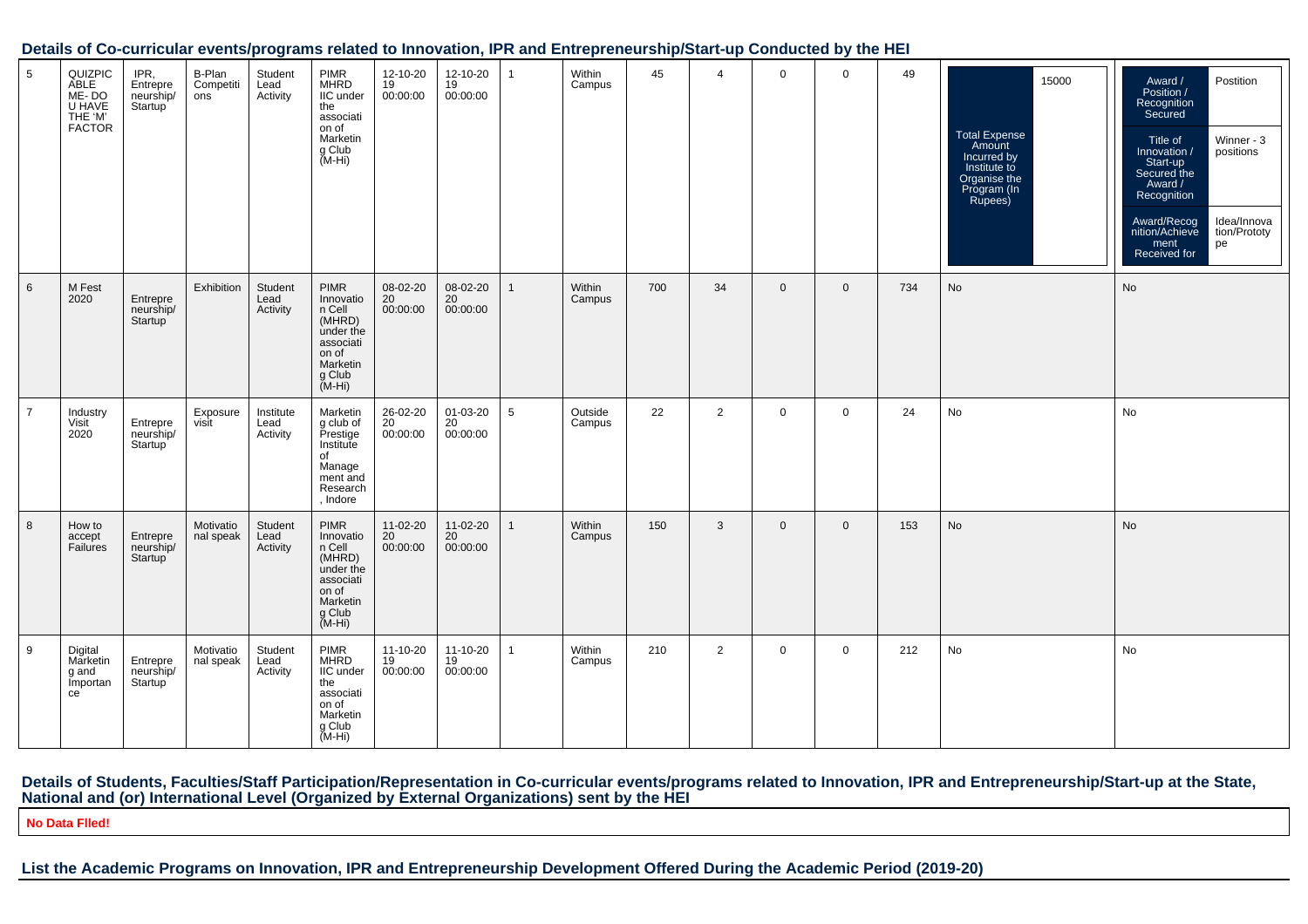#### **Details of Co-curricular events/programs related to Innovation, IPR and Entrepreneurship/Start-up Conducted by the HEI**

| 5               | QUIZPIC<br>ABLE<br>ME-DO<br>U HAVE<br>THE 'M'<br><b>FACTOR</b> | IPR,<br>Entrepre<br>neurship/<br>Startup <sup>'</sup> | B-Plan<br>Competiti<br>ons | Student<br>Lead<br>Activity   | <b>PIMR</b><br><b>MHRD</b><br>IIC under<br>the<br>associati<br>on of<br>Marketin<br>g Club<br>$(M-Hi)$   | 12-10-20<br>19<br>00:00:00 | 12-10-20<br>19<br>00:00:00 | 1               | Within<br>Campus  | 45  | $\overline{4}$ | $\mathbf 0$  | $\mathsf{O}$ | 49  | 15000<br><b>Total Expense</b><br>Amount<br>Incurred by<br>Institute to<br>Organise the<br>Program (In<br>Rupees) | Postition<br>Award /<br>Position /<br>Recognition<br>Secured<br>Winner - 3<br>Title of<br>Innovation /<br>positions<br>Start-up<br>Secured the<br>Award /<br>Recognition<br>Idea/Innova<br>Award/Recog<br>nition/Achieve<br>tion/Prototy<br>ment<br>pe<br>Received for |
|-----------------|----------------------------------------------------------------|-------------------------------------------------------|----------------------------|-------------------------------|----------------------------------------------------------------------------------------------------------|----------------------------|----------------------------|-----------------|-------------------|-----|----------------|--------------|--------------|-----|------------------------------------------------------------------------------------------------------------------|------------------------------------------------------------------------------------------------------------------------------------------------------------------------------------------------------------------------------------------------------------------------|
| $6\phantom{1}6$ | M Fest<br>2020                                                 | Entrepre<br>neurship/<br>Startup                      | Exhibition                 | Student<br>Lead<br>Activity   | PIMR<br>Innovatio<br>n Cell<br>(MHRD)<br>under the<br>associati<br>on of<br>Marketin<br>g Club<br>(M-Hi) | 08-02-20<br>20<br>00:00:00 | 08-02-20<br>20<br>00:00:00 | $\mathbf{1}$    | Within<br>Campus  | 700 | 34             | $\mathbf{0}$ | $\mathbf 0$  | 734 | No                                                                                                               | No                                                                                                                                                                                                                                                                     |
| $\overline{7}$  | Industry<br>Visit<br>2020                                      | Entrepre<br>neurship/<br>Startup                      | Exposure<br>visit          | Institute<br>Lead<br>Activity | Marketin<br>g club of<br>Prestige<br>Institute<br>of<br>Manage<br>ment and<br>Research<br>, Indore       | 26-02-20<br>20<br>00:00:00 | 01-03-20<br>20<br>00:00:00 | $5\overline{5}$ | Outside<br>Campus | 22  | $\overline{2}$ | $\mathbf 0$  | $\mathbf 0$  | 24  | No                                                                                                               | No                                                                                                                                                                                                                                                                     |
| 8               | How to<br>accept<br>Failures                                   | Entrepre<br>neurship/<br>Startup                      | Motivatio<br>nal speak     | Student<br>Lead<br>Activity   | PIMR<br>Innovatio<br>n Cell<br>(MHRD)<br>under the<br>associati<br>on of<br>Marketin<br>g Club<br>(M-Hi) | 11-02-20<br>20<br>00:00:00 | 11-02-20<br>20<br>00:00:00 | 1               | Within<br>Campus  | 150 | $\mathbf{3}$   | $\mathbf{0}$ | $\mathbf 0$  | 153 | No                                                                                                               | No                                                                                                                                                                                                                                                                     |
| 9               | Digital<br>Marketin<br>g and<br>Importan<br>ce                 | Entrepre<br>neurship/<br>Startup                      | Motivatio<br>nal speak     | Student<br>Lead<br>Activity   | PIMR<br>MHRD<br>IIC under<br>the<br>associati<br>on of<br>Marketin<br>g Club<br>(M-Hi)                   | 11-10-20<br>19<br>00:00:00 | 11-10-20<br>19<br>00:00:00 | 1               | Within<br>Campus  | 210 | 2              | $\mathbf 0$  | $\mathbf 0$  | 212 | No                                                                                                               | No                                                                                                                                                                                                                                                                     |

# Details of Students, Faculties/Staff Participation/Representation in Co-curricular events/programs related to Innovation, IPR and Entrepreneurship/Start-up at the State,<br>National and (or) International Level (Organized by

**No Data Flled!**

## **List the Academic Programs on Innovation, IPR and Entrepreneurship Development Offered During the Academic Period (2019-20)**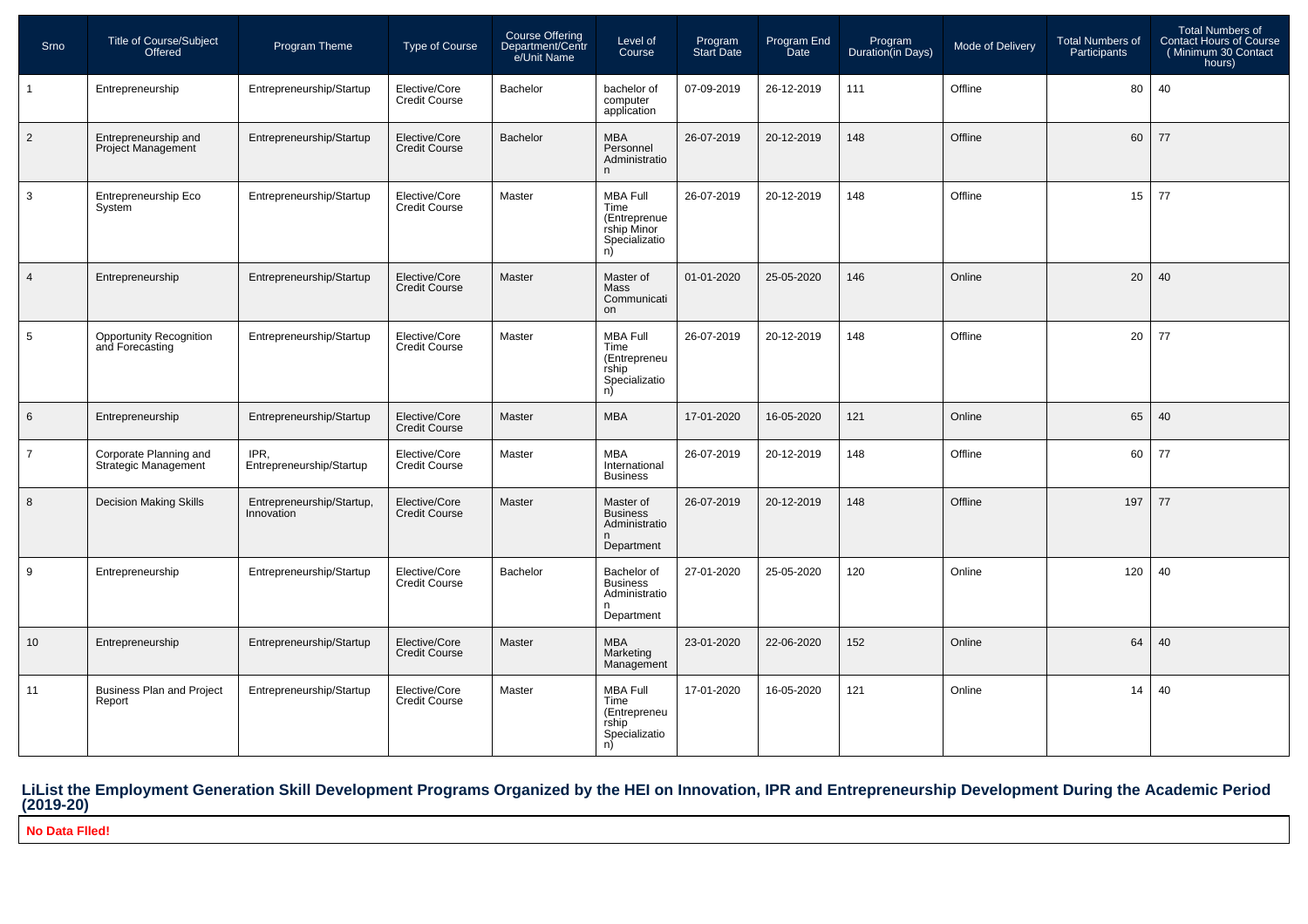| Srno           | <b>Title of Course/Subject</b><br>Offered             | Program Theme                           | <b>Type of Course</b>                 | <b>Course Offering</b><br>Department/Centr<br>e/Unit Name | Level of<br>Course                                                            | Program<br>Start Date | Program End<br><b>Date</b> | Program<br>Duration(in Days) | <b>Mode of Delivery</b> | <b>Total Numbers of</b><br>Participants | Total Numbers of<br><b>Contact Hours of Course</b><br>(Minimum 30 Contact<br>hours) |
|----------------|-------------------------------------------------------|-----------------------------------------|---------------------------------------|-----------------------------------------------------------|-------------------------------------------------------------------------------|-----------------------|----------------------------|------------------------------|-------------------------|-----------------------------------------|-------------------------------------------------------------------------------------|
| $\mathbf{1}$   | Entrepreneurship                                      | Entrepreneurship/Startup                | Elective/Core<br><b>Credit Course</b> | Bachelor                                                  | bachelor of<br>computer<br>application                                        | 07-09-2019            | 26-12-2019                 | 111                          | Offline                 | 80                                      | 40                                                                                  |
| $\overline{2}$ | Entrepreneurship and<br><b>Project Management</b>     | Entrepreneurship/Startup                | Elective/Core<br><b>Credit Course</b> | <b>Bachelor</b>                                           | <b>MBA</b><br>Personnel<br>Administratio<br>n                                 | 26-07-2019            | 20-12-2019                 | 148                          | Offline                 | 60                                      | 77                                                                                  |
| $\mathbf{3}$   | Entrepreneurship Eco<br>System                        | Entrepreneurship/Startup                | Elective/Core<br><b>Credit Course</b> | Master                                                    | <b>MBA Full</b><br>Time<br>(Entreprenue<br>rship Minor<br>Specializatio<br>n) | 26-07-2019            | 20-12-2019                 | 148                          | Offline                 | 15                                      | 77                                                                                  |
| $\overline{4}$ | Entrepreneurship                                      | Entrepreneurship/Startup                | Elective/Core<br><b>Credit Course</b> | <b>Master</b>                                             | Master of<br>Mass<br>Communicati<br>on                                        | 01-01-2020            | 25-05-2020                 | 146                          | Online                  | 20                                      | 40                                                                                  |
| 5              | <b>Opportunity Recognition</b><br>and Forecasting     | Entrepreneurship/Startup                | Elective/Core<br><b>Credit Course</b> | Master                                                    | <b>MBA Full</b><br>Time<br>(Entrepreneu<br>rship<br>Specializatio<br>n)       | 26-07-2019            | 20-12-2019                 | 148                          | Offline                 | 20                                      | 77                                                                                  |
| 6              | Entrepreneurship                                      | Entrepreneurship/Startup                | Elective/Core<br><b>Credit Course</b> | Master                                                    | <b>MBA</b>                                                                    | 17-01-2020            | 16-05-2020                 | 121                          | Online                  | 65                                      | 40                                                                                  |
| $\overline{7}$ | Corporate Planning and<br><b>Strategic Management</b> | IPR.<br>Entrepreneurship/Startup        | Elective/Core<br><b>Credit Course</b> | Master                                                    | <b>MBA</b><br>International<br><b>Business</b>                                | 26-07-2019            | 20-12-2019                 | 148                          | Offline                 | 60                                      | 77                                                                                  |
| 8              | Decision Making Skills                                | Entrepreneurship/Startup,<br>Innovation | Elective/Core<br><b>Credit Course</b> | Master                                                    | Master of<br><b>Business</b><br>Administratio<br>n<br>Department              | 26-07-2019            | 20-12-2019                 | 148                          | Offline                 | 197                                     | 77                                                                                  |
| 9              | Entrepreneurship                                      | Entrepreneurship/Startup                | Elective/Core<br><b>Credit Course</b> | <b>Bachelor</b>                                           | Bachelor of<br><b>Business</b><br>Administratio<br>n<br>Department            | 27-01-2020            | 25-05-2020                 | 120                          | Online                  | 120                                     | 40                                                                                  |
| 10             | Entrepreneurship                                      | Entrepreneurship/Startup                | Elective/Core<br>Credit Course        | <b>Master</b>                                             | <b>MBA</b><br>Marketing<br>Management                                         | 23-01-2020            | 22-06-2020                 | 152                          | Online                  | 64                                      | 40                                                                                  |
| 11             | <b>Business Plan and Project</b><br>Report            | Entrepreneurship/Startup                | Elective/Core<br><b>Credit Course</b> | Master                                                    | <b>MBA Full</b><br>Time<br>(Entrepreneu<br>rship<br>Specializatio<br>n)       | 17-01-2020            | 16-05-2020                 | 121                          | Online                  | 14                                      | 40                                                                                  |

# **LiList the Employment Generation Skill Development Programs Organized by the HEI on Innovation, IPR and Entrepreneurship Development During the Academic Period (2019-20)**

**No Data Flled!**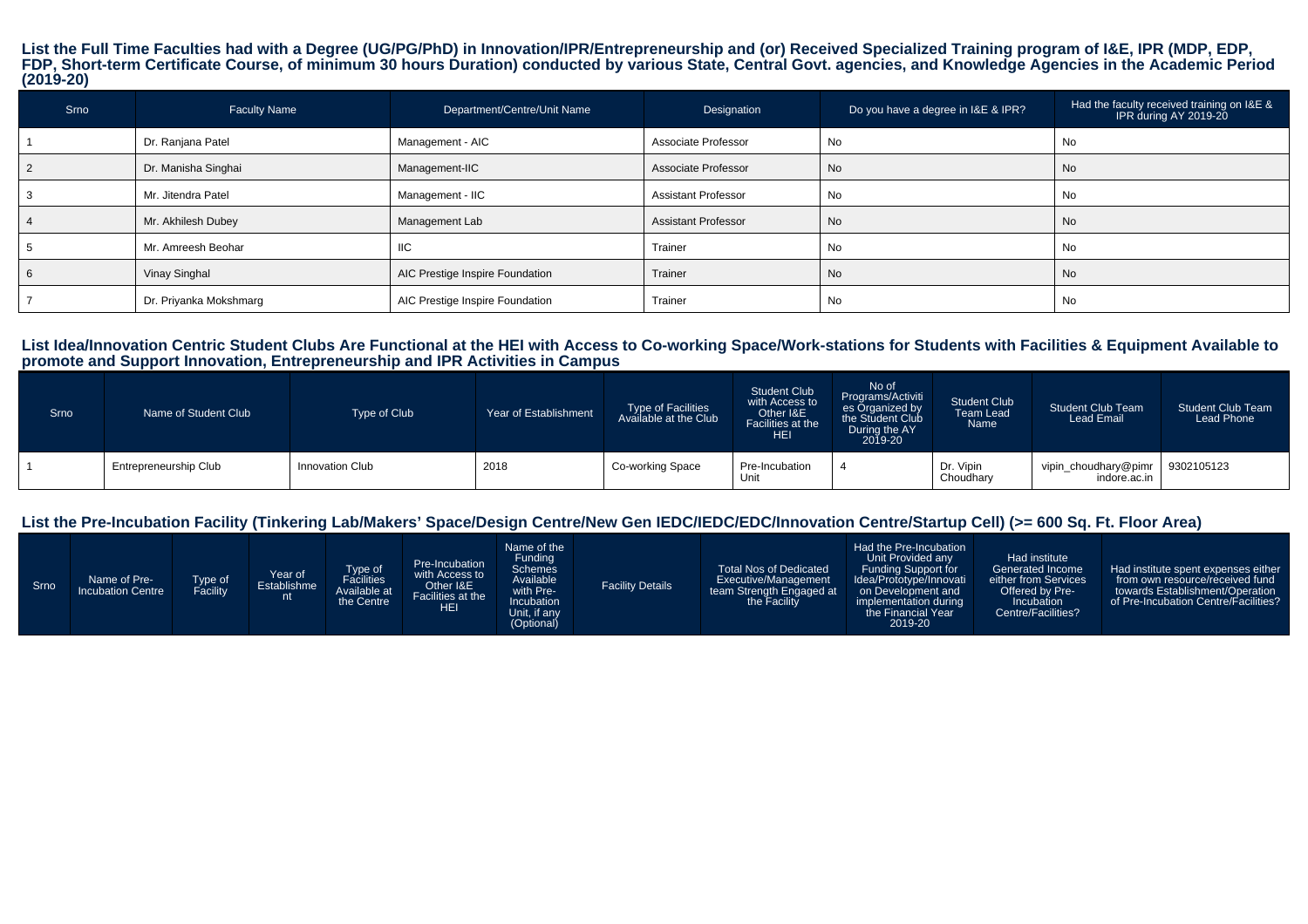## List the Full Time Faculties had with a Degree (UG/PG/PhD) in Innovation/IPR/Entrepreneurship and (or) Received Specialized Training program of I&E, IPR (MDP, EDP,<br>FDP, Short-term Certificate Course, of minimum 30 hours Du **(2019-20)**

| Srno | <b>Faculty Name</b>    | Department/Centre/Unit Name     | Designation                | Do you have a degree in I&E & IPR? | Had the faculty received training on I&E &<br>IPR during AY 2019-20 |
|------|------------------------|---------------------------------|----------------------------|------------------------------------|---------------------------------------------------------------------|
|      | Dr. Ranjana Patel      | Management - AIC                | Associate Professor        | No                                 | No                                                                  |
|      | Dr. Manisha Singhai    | Management-IIC                  | Associate Professor        | No                                 | No                                                                  |
|      | Mr. Jitendra Patel     | Management - IIC                | <b>Assistant Professor</b> | No                                 | No                                                                  |
|      | Mr. Akhilesh Dubey     | Management Lab                  | <b>Assistant Professor</b> | No                                 | <b>No</b>                                                           |
|      | Mr. Amreesh Beohar     | IIC                             | Trainer                    | No                                 | No                                                                  |
|      | Vinay Singhal          | AIC Prestige Inspire Foundation | Trainer                    | No                                 | <b>No</b>                                                           |
|      | Dr. Priyanka Mokshmarg | AIC Prestige Inspire Foundation | Trainer                    | No                                 | No                                                                  |

#### **List Idea/Innovation Centric Student Clubs Are Functional at the HEI with Access to Co-working Space/Work-stations for Students with Facilities & Equipment Available topromote and Support Innovation, Entrepreneurship and IPR Activities in Campus**

| Srno | Name of Student Club  | Type of Club    | Year of Establishment | Type of Facilities<br>Available at the Club | <b>Student Club</b><br>with Access to<br>Other I&E<br>Facilities at the<br>HEI | No of<br>Programs/Activiti<br>es Organized by<br>During the AY<br>2019-20 | <b>Student Club</b><br><b>Team Lead</b><br>Name | <b>Student Club Team</b><br>Lead Email            | <b>Student Club Team</b><br>Lead Phone |
|------|-----------------------|-----------------|-----------------------|---------------------------------------------|--------------------------------------------------------------------------------|---------------------------------------------------------------------------|-------------------------------------------------|---------------------------------------------------|----------------------------------------|
|      | Entrepreneurship Club | Innovation Club | 2018                  | Co-working Space                            | Pre-Incubation<br>Unit                                                         |                                                                           | Dr. Vipin<br>Choudhary                          | vipin_choudhary@pimr   9302105123<br>indore.ac.in |                                        |

## **List the Pre-Incubation Facility (Tinkering Lab/Makers' Space/Design Centre/New Gen IEDC/IEDC/EDC/Innovation Centre/Startup Cell) (>= 600 Sq. Ft. Floor Area)**

| Srno | Name of Pre-<br><b>Incubation Centre</b> | Type of<br>Facility | Year of<br>Establishme<br>$\mathbf{r}$ | Type of<br>Facilities<br>Available at<br>the Centre | Pre-Incubation<br>with Access to<br>Other I&E<br>Facilities at the<br>HEI | Name of the<br>Funding<br>Schemes<br>Available<br>with Pre-<br><b>Incubation</b><br>Unit, if any<br>(Optional) | <b>Facility Details</b> | <b>Total Nos of Dedicated</b><br>Executive/Management<br>team Strength Engaged at<br>the Facility | Had the Pre-Incubation<br>Unit Provided any<br>Funding Support for<br>Idea/Prototype/Innovati<br>on Development and<br>implementation during<br>the Financial Year<br>2019-20 | Had institute<br>Generated Income<br>either from Services<br>Offered by Pre-<br>Incubation<br>Centre/Facilities? | Had institute spent expenses either<br>from own resource/received fund<br>towards Establishment/Operation<br>of Pre-Incubation Centre/Facilities? |
|------|------------------------------------------|---------------------|----------------------------------------|-----------------------------------------------------|---------------------------------------------------------------------------|----------------------------------------------------------------------------------------------------------------|-------------------------|---------------------------------------------------------------------------------------------------|-------------------------------------------------------------------------------------------------------------------------------------------------------------------------------|------------------------------------------------------------------------------------------------------------------|---------------------------------------------------------------------------------------------------------------------------------------------------|
|------|------------------------------------------|---------------------|----------------------------------------|-----------------------------------------------------|---------------------------------------------------------------------------|----------------------------------------------------------------------------------------------------------------|-------------------------|---------------------------------------------------------------------------------------------------|-------------------------------------------------------------------------------------------------------------------------------------------------------------------------------|------------------------------------------------------------------------------------------------------------------|---------------------------------------------------------------------------------------------------------------------------------------------------|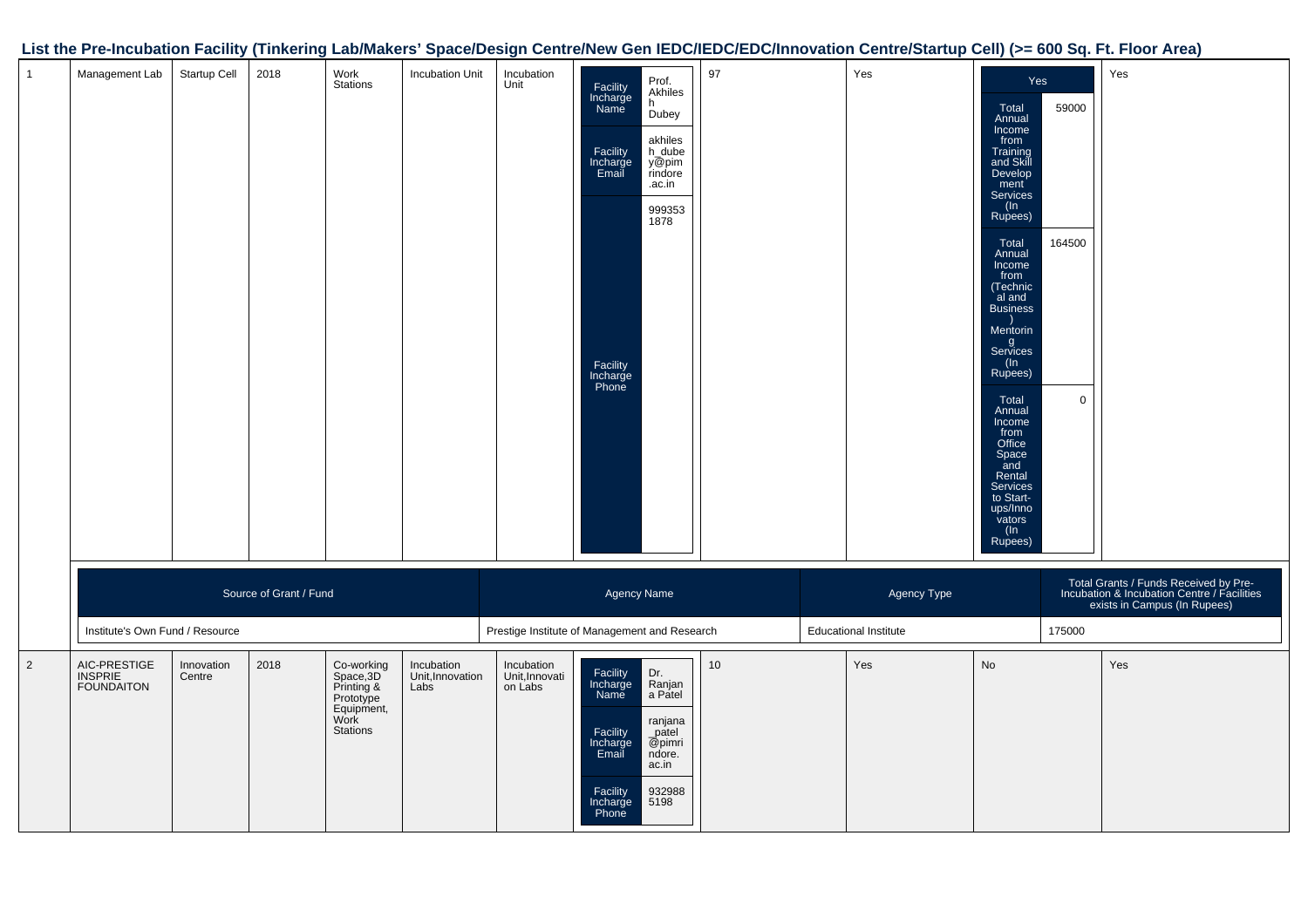## **List the Pre-Incubation Facility (Tinkering Lab/Makers' Space/Design Centre/New Gen IEDC/IEDC/EDC/Innovation Centre/Startup Cell) (>= 600 Sq. Ft. Floor Area)**

| $\mathbf{1}$   | Management Lab                               | Startup Cell         | 2018                   | Work<br>Stations                                                                     | Incubation Unit                        | Incubation<br>Unit                            | Facility<br>Incharge<br>Name<br>Facility<br>Incharge<br>Email<br>Facility<br>Incharge<br>Phone | Prof.<br>Akhiles<br>h.<br>Dubey<br>akhiles<br>h_dube<br>y@pim<br>rindore<br>.ac.in<br>999353<br>1878 | 97 | Yes                          | Yes<br>Total<br>Annual<br>Income<br>from<br>Training<br>and Skill<br>Develop<br>ment <sup>1</sup><br>Services<br>$(\ln$<br>Rupees)<br>Total<br>Annual<br>Income<br>from<br>(Technic<br>al and<br><b>Business</b><br>Mentorin<br>g<br>Services<br>(In<br>Rupees)<br>Total<br>Annual<br>Income<br>from<br>Office<br>Space<br>and<br>Rental<br><b>Services</b><br>to Start-<br>ups/Inno<br>vators<br>(In<br>Rupees) | 59000<br>164500<br>$\mathbf 0$ | Yes                                                                                                                  |
|----------------|----------------------------------------------|----------------------|------------------------|--------------------------------------------------------------------------------------|----------------------------------------|-----------------------------------------------|------------------------------------------------------------------------------------------------|------------------------------------------------------------------------------------------------------|----|------------------------------|------------------------------------------------------------------------------------------------------------------------------------------------------------------------------------------------------------------------------------------------------------------------------------------------------------------------------------------------------------------------------------------------------------------|--------------------------------|----------------------------------------------------------------------------------------------------------------------|
|                |                                              |                      | Source of Grant / Fund |                                                                                      |                                        |                                               | Agency Name                                                                                    |                                                                                                      |    | Agency Type                  |                                                                                                                                                                                                                                                                                                                                                                                                                  |                                | Total Grants / Funds Received by Pre-<br>Incubation & Incubation Centre / Facilities<br>exists in Campus (In Rupees) |
|                | Institute's Own Fund / Resource              |                      |                        |                                                                                      |                                        | Prestige Institute of Management and Research |                                                                                                |                                                                                                      |    | <b>Educational Institute</b> |                                                                                                                                                                                                                                                                                                                                                                                                                  | 175000                         |                                                                                                                      |
| $\overline{2}$ | AIC-PRESTIGE<br>INSPRIE<br><b>FOUNDAITON</b> | Innovation<br>Centre | 2018                   | Co-working<br>Space, 3D<br>Printing &<br>Prototype<br>Equipment,<br>Work<br>Stations | Incubation<br>Unit, Innovation<br>Labs | Incubation<br>Unit, Innovati<br>on Labs       | Facility<br>Incharge<br>Name<br>Facility<br>Incharge<br>Email<br>Facility<br>Incharge<br>Phone | Dr.<br>Ranjan<br>a Patel<br>ranjana<br>$\_$ patel<br>@pimri<br>ndore.<br>ac.in<br>932988<br>5198     | 10 | Yes                          | No                                                                                                                                                                                                                                                                                                                                                                                                               |                                | Yes                                                                                                                  |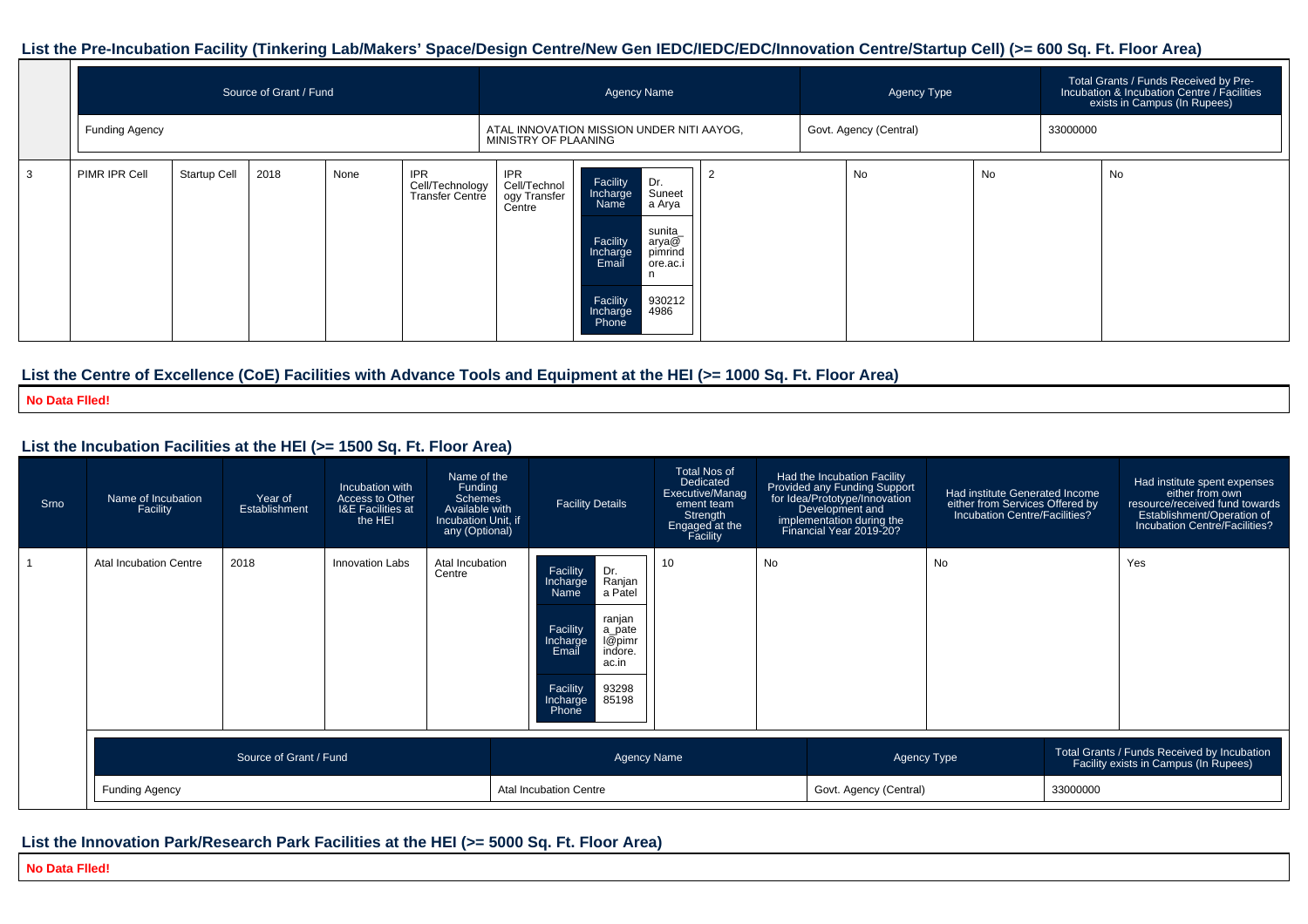#### **List the Pre-Incubation Facility (Tinkering Lab/Makers' Space/Design Centre/New Gen IEDC/IEDC/EDC/Innovation Centre/Startup Cell) (>= 600 Sq. Ft. Floor Area)**

|    |                |                                                   | Source of Grant / Fund |  |                                           |                                                                   |                                                                                                | <b>Agency Name</b>                                                                   | Agency Type |                        |    | Total Grants / Funds Received by Pre-<br>Incubation & Incubation Centre / Facilities<br>exists in Campus (In Rupees) |    |
|----|----------------|---------------------------------------------------|------------------------|--|-------------------------------------------|-------------------------------------------------------------------|------------------------------------------------------------------------------------------------|--------------------------------------------------------------------------------------|-------------|------------------------|----|----------------------------------------------------------------------------------------------------------------------|----|
|    | Funding Agency | 2018<br><b>Startup Cell</b><br>None<br><b>IPR</b> |                        |  |                                           | ATAL INNOVATION MISSION UNDER NITI AAYOG,<br>MINISTRY OF PLAANING |                                                                                                |                                                                                      |             | Govt. Agency (Central) |    | 33000000                                                                                                             |    |
| ر. | PIMR IPR Cell  |                                                   |                        |  | Cell/Technology<br><b>Transfer Centre</b> | <b>IPR</b><br>Cell/Technol<br>ogy Transfer<br>Centre              | Facility<br>Incharge<br>Name<br>Facility<br>Incharge<br>Email<br>Facility<br>Incharge<br>Phone | Dr.<br>Suneet<br>a Arya<br>sunita_<br>arya@<br>pimrind<br>ore.ac.i<br>930212<br>4986 |             | No                     | No |                                                                                                                      | No |

## **List the Centre of Excellence (CoE) Facilities with Advance Tools and Equipment at the HEI (>= 1000 Sq. Ft. Floor Area)**

**No Data Flled!**

## **List the Incubation Facilities at the HEI (>= 1500 Sq. Ft. Floor Area)**

| Srno | Name of Incubation<br>Facility | Year of<br>Establishment | Incubation with<br>Access to Other<br><b>I&amp;E</b> Facilities at<br>the HEI | Name of the<br>Funding<br>Schemes<br>Available with<br>Incubation Unit, if<br>any (Optional) | <b>Facility Details</b>                                                                                                                                                                        | <b>Total Nos of</b><br>Dedicated<br>Executive/Manag<br>ement team<br>Strength<br>Engaged at the<br>Facility |           | Had the Incubation Facility<br>Provided any Funding Support<br>for Idea/Prototype/Innovation<br>Development and<br>implementation during the<br>Financial Year 2019-20? | Had institute Generated Income<br>either from Services Offered by<br>Incubation Centre/Facilities? |                                                                                      | Had institute spent expenses<br>either from own<br>resource/received fund towards<br>Establishment/Operation of<br>Incubation Centre/Facilities? |
|------|--------------------------------|--------------------------|-------------------------------------------------------------------------------|----------------------------------------------------------------------------------------------|------------------------------------------------------------------------------------------------------------------------------------------------------------------------------------------------|-------------------------------------------------------------------------------------------------------------|-----------|-------------------------------------------------------------------------------------------------------------------------------------------------------------------------|----------------------------------------------------------------------------------------------------|--------------------------------------------------------------------------------------|--------------------------------------------------------------------------------------------------------------------------------------------------|
|      | Atal Incubation Centre         | 2018                     | <b>Innovation Labs</b>                                                        | Atal Incubation<br>Centre                                                                    | Facility<br>Dr.<br>Ranjan<br>Incharge<br>a Pátel<br>Name<br>ranjan<br>Facility<br>a_pate<br>I@pimr<br>Incharge<br>indore.<br>Email<br>ac.in<br>93298<br>Facility<br>85198<br>Incharge<br>Phone | 10                                                                                                          | <b>No</b> |                                                                                                                                                                         | No                                                                                                 |                                                                                      | Yes                                                                                                                                              |
|      |                                | Source of Grant / Fund   |                                                                               |                                                                                              |                                                                                                                                                                                                | <b>Agency Name</b>                                                                                          |           | Agency Type                                                                                                                                                             |                                                                                                    | Total Grants / Funds Received by Incubation<br>Facility exists in Campus (In Rupees) |                                                                                                                                                  |
|      | <b>Funding Agency</b>          |                          |                                                                               | Atal Incubation Centre                                                                       |                                                                                                                                                                                                | Govt. Agency (Central)                                                                                      |           | 33000000                                                                                                                                                                |                                                                                                    |                                                                                      |                                                                                                                                                  |

## **List the Innovation Park/Research Park Facilities at the HEI (>= 5000 Sq. Ft. Floor Area)**

**No Data Flled!**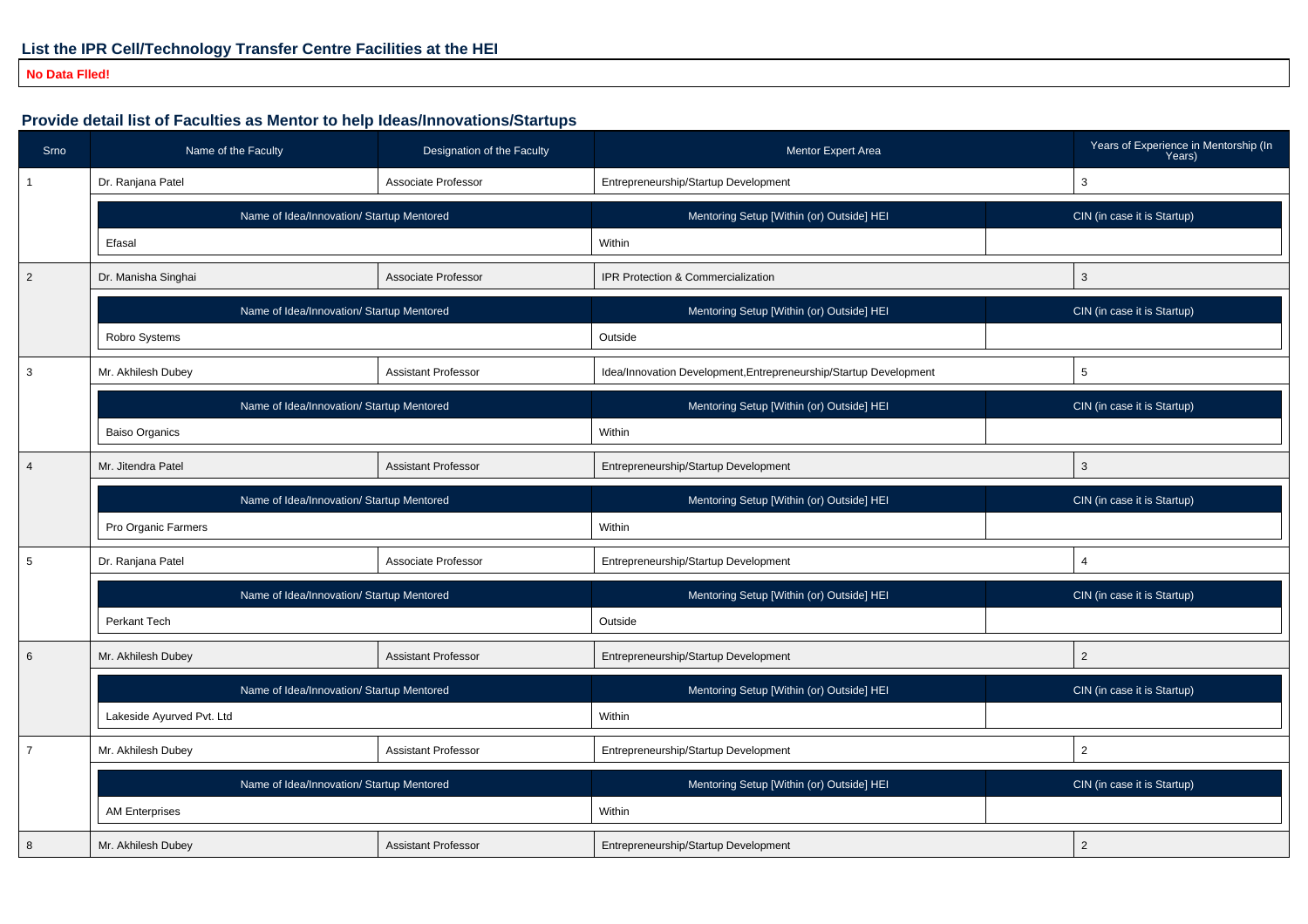## **No Data Flled!**

## **Provide detail list of Faculties as Mentor to help Ideas/Innovations/Startups**

| Srno           | Name of the Faculty                       | Designation of the Faculty | <b>Mentor Expert Area</b>                                         |   | Years of Experience in Mentorship (In<br>Years) |  |  |
|----------------|-------------------------------------------|----------------------------|-------------------------------------------------------------------|---|-------------------------------------------------|--|--|
|                | Dr. Ranjana Patel                         | Associate Professor        | Entrepreneurship/Startup Development                              |   | 3                                               |  |  |
|                | Name of Idea/Innovation/ Startup Mentored |                            | Mentoring Setup [Within (or) Outside] HEI                         |   | CIN (in case it is Startup)                     |  |  |
|                | Efasal                                    |                            | Within                                                            |   |                                                 |  |  |
| 2              | Dr. Manisha Singhai                       | Associate Professor        | IPR Protection & Commercialization                                | 3 |                                                 |  |  |
|                | Name of Idea/Innovation/ Startup Mentored |                            | Mentoring Setup [Within (or) Outside] HEI                         |   | CIN (in case it is Startup)                     |  |  |
|                | Robro Systems                             |                            | Outside                                                           |   |                                                 |  |  |
| 3              | Mr. Akhilesh Dubey                        | <b>Assistant Professor</b> | Idea/Innovation Development, Entrepreneurship/Startup Development |   | 5                                               |  |  |
|                | Name of Idea/Innovation/ Startup Mentored |                            | Mentoring Setup [Within (or) Outside] HEI                         |   | CIN (in case it is Startup)                     |  |  |
|                | <b>Baiso Organics</b>                     |                            | Within                                                            |   |                                                 |  |  |
| $\overline{4}$ | Mr. Jitendra Patel                        | <b>Assistant Professor</b> | Entrepreneurship/Startup Development                              |   | 3                                               |  |  |
|                | Name of Idea/Innovation/ Startup Mentored |                            | Mentoring Setup [Within (or) Outside] HEI                         |   | CIN (in case it is Startup)                     |  |  |
|                | Pro Organic Farmers                       |                            | Within                                                            |   |                                                 |  |  |
| 5              | Dr. Ranjana Patel                         | Associate Professor        | Entrepreneurship/Startup Development                              |   | $\overline{4}$                                  |  |  |
|                | Name of Idea/Innovation/ Startup Mentored |                            | Mentoring Setup [Within (or) Outside] HEI                         |   | CIN (in case it is Startup)                     |  |  |
|                | Perkant Tech                              |                            | Outside                                                           |   |                                                 |  |  |
| 6              | Mr. Akhilesh Dubey                        | <b>Assistant Professor</b> | Entrepreneurship/Startup Development                              |   | 2                                               |  |  |
|                | Name of Idea/Innovation/ Startup Mentored |                            | Mentoring Setup [Within (or) Outside] HEI                         |   | CIN (in case it is Startup)                     |  |  |
|                | Lakeside Ayurved Pvt. Ltd                 |                            | Within                                                            |   |                                                 |  |  |
| $\overline{7}$ | Mr. Akhilesh Dubey                        | <b>Assistant Professor</b> | Entrepreneurship/Startup Development                              |   | $\overline{2}$                                  |  |  |
|                | Name of Idea/Innovation/ Startup Mentored |                            | Mentoring Setup [Within (or) Outside] HEI                         |   | CIN (in case it is Startup)                     |  |  |
|                |                                           |                            |                                                                   |   |                                                 |  |  |
|                | <b>AM Enterprises</b>                     |                            | Within                                                            |   |                                                 |  |  |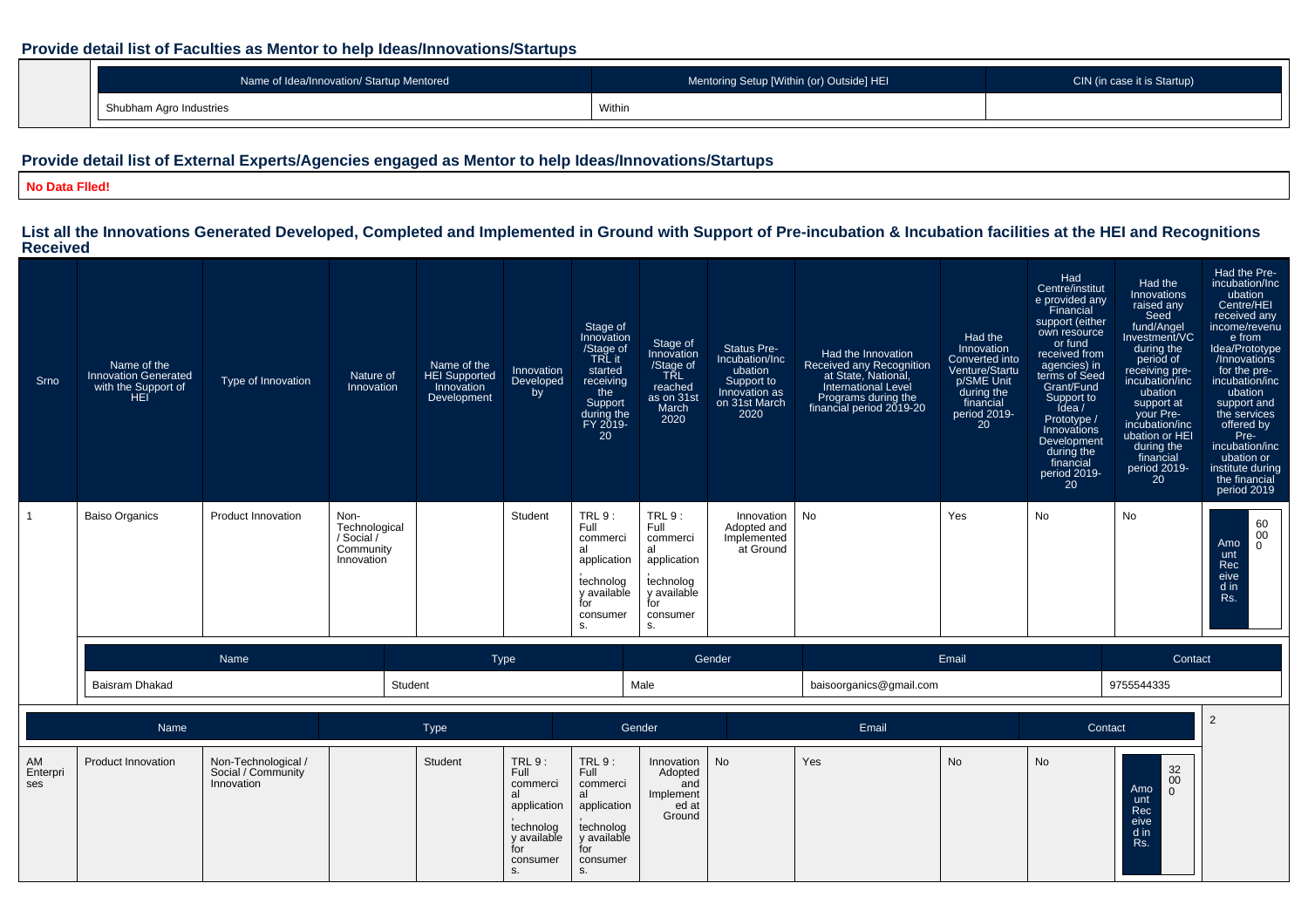## **Provide detail list of Faculties as Mentor to help Ideas/Innovations/Startups**

| Name of Idea/Innovation/ Startup Mentored | Mentoring Setup [Within (or) Outside] HEI | CIN (in case it is Startup) |
|-------------------------------------------|-------------------------------------------|-----------------------------|
| Shubham Agro Industries                   | Withir                                    |                             |

## **Provide detail list of External Experts/Agencies engaged as Mentor to help Ideas/Innovations/Startups**

#### **No Data Flled!**

# **List all the Innovations Generated Developed, Completed and Implemented in Ground with Support of Pre-incubation & Incubation facilities at the HEI and Recognitions Received**

| Srno | Name of the<br><b>Innovation Generated</b><br>with the Support of<br>HEI | Type of Innovation        | Nature of<br>Innovation                                        | Name of the<br><b>HEI Supported</b><br>Innovation<br>Development | Innovation<br>Developed<br>by | Stage of<br>Innovation<br>/Stage of<br>TRL it<br>started<br>receiving<br>the<br>Support<br>during the<br>FY 2019-<br>20 | Stage of<br>Innovation<br>/Stage of<br>TŘL<br>reached<br>as on 31st<br>March<br>2020                | Status Pre-<br>Incubation/Inc<br>ubation<br>Support to<br>Innovation as<br>on 31st March<br>2020 | Had the Innovation<br>Received any Recognition<br>at State, National,<br><b>International Level</b><br>Programs during the<br>financial period 2019-20 | Had the<br>Innovation<br>Converted into<br>Venture/Startu<br>p/SME Unit<br>during the<br>financial<br>period 2019-<br>20 | Had<br>Centre/institut<br>e provided any<br>Financial<br>support (either<br>own resource<br>or fund<br>received from<br>agencies) in<br>terms of Seed<br>Grant/Fund<br>Support to<br>Idea $/$<br>Prototype /<br>Innovations<br>Development<br>during the<br>financial<br>period 2019-<br><b>20</b> | Had the<br>Innovations<br>raised any<br>Seed<br>fund/Angel<br>Investment/VC<br>during the<br>period of<br>receiving pre-<br>incubation/inc<br>ubation<br>support at<br>vour Pre-<br>incubation/inc<br>ubation or HEI<br>during the<br>financial<br>period 2019-<br>20 | Had the Pre-<br>incubation/Inc<br>ubation<br>Centre/HEI<br>received any<br>income/revenu<br>e from<br>Idea/Prototype<br>/Innovations<br>for the pre-<br>incubation/inc<br>ubation<br>support and<br>the services<br>offered by<br>Pre-<br>incubation/inc<br>ubation or<br>institute during<br>the financial<br>period 2019 |
|------|--------------------------------------------------------------------------|---------------------------|----------------------------------------------------------------|------------------------------------------------------------------|-------------------------------|-------------------------------------------------------------------------------------------------------------------------|-----------------------------------------------------------------------------------------------------|--------------------------------------------------------------------------------------------------|--------------------------------------------------------------------------------------------------------------------------------------------------------|--------------------------------------------------------------------------------------------------------------------------|----------------------------------------------------------------------------------------------------------------------------------------------------------------------------------------------------------------------------------------------------------------------------------------------------|-----------------------------------------------------------------------------------------------------------------------------------------------------------------------------------------------------------------------------------------------------------------------|----------------------------------------------------------------------------------------------------------------------------------------------------------------------------------------------------------------------------------------------------------------------------------------------------------------------------|
|      | <b>Baiso Organics</b>                                                    | <b>Product Innovation</b> | Non-<br>Technological<br>/ Social /<br>Community<br>Innovation |                                                                  | Student                       | TRL 9:<br>Full<br>commerci<br>al<br>application<br>technolog<br>y available<br>for<br>consumer<br>S.                    | TRL9:<br>Full<br>commerci<br>al<br>application<br>technolog<br>y available<br>for<br>consumer<br>S. | Innovation<br>Adopted and<br>Implemented<br>at Ground                                            | No                                                                                                                                                     | Yes                                                                                                                      | <b>No</b>                                                                                                                                                                                                                                                                                          | No                                                                                                                                                                                                                                                                    | 60<br>00<br>Amo<br>$\Omega$<br>unt<br>Rec<br>eive<br>d in<br>Rs.                                                                                                                                                                                                                                                           |
|      |                                                                          | Name                      |                                                                |                                                                  | Type                          |                                                                                                                         |                                                                                                     | Gender                                                                                           |                                                                                                                                                        | Email                                                                                                                    |                                                                                                                                                                                                                                                                                                    | Contact                                                                                                                                                                                                                                                               |                                                                                                                                                                                                                                                                                                                            |
|      | Baisram Dhakad                                                           |                           | Student                                                        |                                                                  |                               |                                                                                                                         | Male                                                                                                |                                                                                                  | baisoorganics@gmail.com                                                                                                                                |                                                                                                                          |                                                                                                                                                                                                                                                                                                    | 9755544335                                                                                                                                                                                                                                                            |                                                                                                                                                                                                                                                                                                                            |

|                       | Name                      |                                                         | <b>Type</b> |         |                                                                                  | Gender                                                                                  |                                                                   | Email |    | Contact |                                                                                     |  |
|-----------------------|---------------------------|---------------------------------------------------------|-------------|---------|----------------------------------------------------------------------------------|-----------------------------------------------------------------------------------------|-------------------------------------------------------------------|-------|----|---------|-------------------------------------------------------------------------------------|--|
| AM<br>Enterpri<br>ses | <b>Product Innovation</b> | Non-Technological /<br>Social / Community<br>Innovation |             | Student | TRL9:<br>Full<br>commerci<br>application<br>technolog<br>y available<br>consumer | TRL9:<br>Full<br>commerci<br>application<br>technolog<br>y available<br>ושו<br>consumer | Innovation   No<br>Adopted<br>and<br>Implement<br>ed at<br>Ground | Yes   | No | No      | $\begin{array}{c} 32 \\ 00 \end{array}$<br>Amo<br>unt<br>Rec<br>eive<br>d in<br>Rs. |  |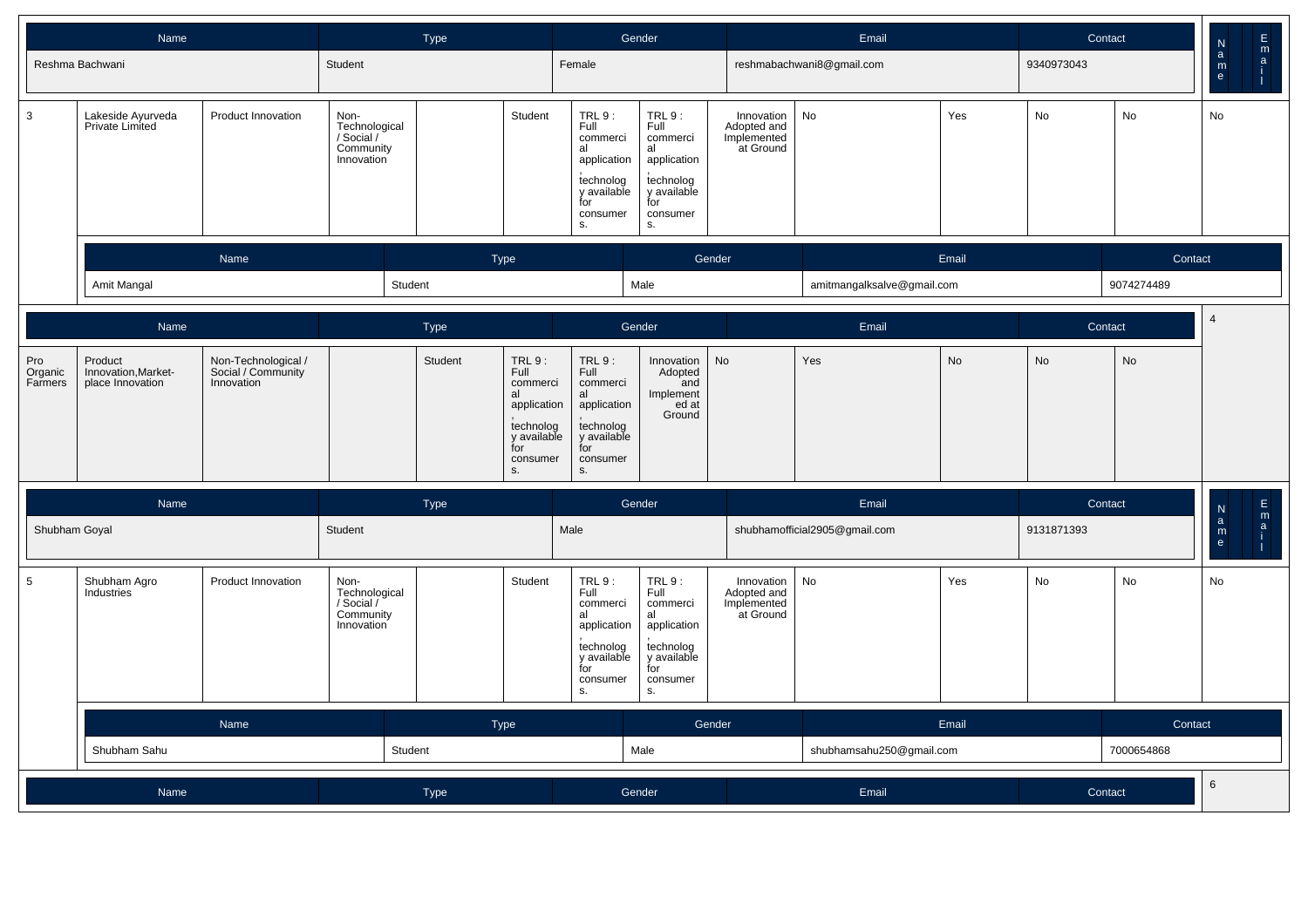|                           | Name                                               |                                                         |                                                                | Type                                                                  |                                                                                                                                                 | Gender                                                                                                |                                                       | Email                         |           |            | Contact    | $\mathsf{N}$                  |               |
|---------------------------|----------------------------------------------------|---------------------------------------------------------|----------------------------------------------------------------|-----------------------------------------------------------------------|-------------------------------------------------------------------------------------------------------------------------------------------------|-------------------------------------------------------------------------------------------------------|-------------------------------------------------------|-------------------------------|-----------|------------|------------|-------------------------------|---------------|
|                           | Reshma Bachwani                                    |                                                         | Student                                                        |                                                                       | Female                                                                                                                                          |                                                                                                       |                                                       | reshmabachwani8@gmail.com     |           | 9340973043 |            | $\mathbf{a}$<br>$\frac{m}{e}$ | $\frac{E}{a}$ |
| 3                         | Lakeside Ayurveda<br>Private Limited               | Product Innovation                                      | Non-<br>Technological<br>/ Social /<br>Community<br>Innovation | Student                                                               | TRL 9 :<br>Full<br>commerci<br>al<br>application<br>technolog<br>y available<br>for<br>consumer<br>S.                                           | TRL 9:<br>Full<br>commerci<br>al<br>application<br>technolog<br>y available<br>for<br>consumer<br>S.  | Innovation<br>Adopted and<br>Implemented<br>at Ground | No                            | Yes       | No         | No         | No                            |               |
|                           |                                                    | Name                                                    |                                                                | Type                                                                  |                                                                                                                                                 | Gender                                                                                                |                                                       |                               | Email     |            | Contact    |                               |               |
|                           | Amit Mangal                                        |                                                         | Student                                                        |                                                                       |                                                                                                                                                 | Male                                                                                                  |                                                       | amitmangalksalve@gmail.com    |           |            | 9074274489 |                               |               |
|                           | Name                                               |                                                         |                                                                | Type                                                                  |                                                                                                                                                 | Gender                                                                                                |                                                       | Email                         |           |            | Contact    | $\overline{4}$                |               |
| Pro<br>Organic<br>Farmers | Product<br>Innovation, Market-<br>place Innovation | Non-Technological /<br>Social / Community<br>Innovation |                                                                | Student<br>TRL 9 :<br>Full<br>commerci<br>al<br>for<br>consumer<br>S. | TRL 9:<br>Full<br>commerci<br>al<br>application<br>application<br>technolog<br>y available<br>technolog<br>y available<br>for<br>consumer<br>S. | Innovation<br>Adopted<br>and<br>Implement<br>ed at<br>Ground                                          | No                                                    | Yes                           | <b>No</b> | No         | <b>No</b>  |                               |               |
|                           | Name                                               |                                                         |                                                                | <b>Type</b>                                                           |                                                                                                                                                 | Gender                                                                                                |                                                       | Email                         |           |            | Contact    | $_{\rm a}^{\rm N}$            | $\frac{E}{a}$ |
| Shubham Goyal             |                                                    |                                                         | Student                                                        |                                                                       | Male                                                                                                                                            |                                                                                                       |                                                       | shubhamofficial2905@gmail.com |           | 9131871393 |            | $\mathsf{m}_{\mathsf{e}}$     |               |
| 5                         | Shubham Agro<br>Industries                         | Product Innovation                                      | Non-<br>Technological<br>/ Social /<br>Community<br>Innovation | Student                                                               | TRL 9 :<br>Full<br>commerci<br>al<br>application<br>technolog<br>y available<br>for<br>consumer<br>S.                                           | TRL 9 :<br>Full<br>commerci<br>al<br>application<br>technolog<br>y available<br>for<br>consumer<br>S. | Innovation<br>Adopted and<br>Implemented<br>at Ground | No                            | Yes       | No         | No         | No                            |               |
|                           |                                                    | Name                                                    |                                                                | Type                                                                  |                                                                                                                                                 | Gender                                                                                                |                                                       |                               | Email     |            | Contact    |                               |               |
|                           | Shubham Sahu                                       |                                                         | Student                                                        |                                                                       |                                                                                                                                                 | Male                                                                                                  |                                                       | shubhamsahu250@gmail.com      |           |            | 7000654868 |                               |               |
|                           | Name                                               |                                                         |                                                                | Type                                                                  |                                                                                                                                                 | Gender                                                                                                |                                                       | Email                         |           |            | Contact    | 6                             |               |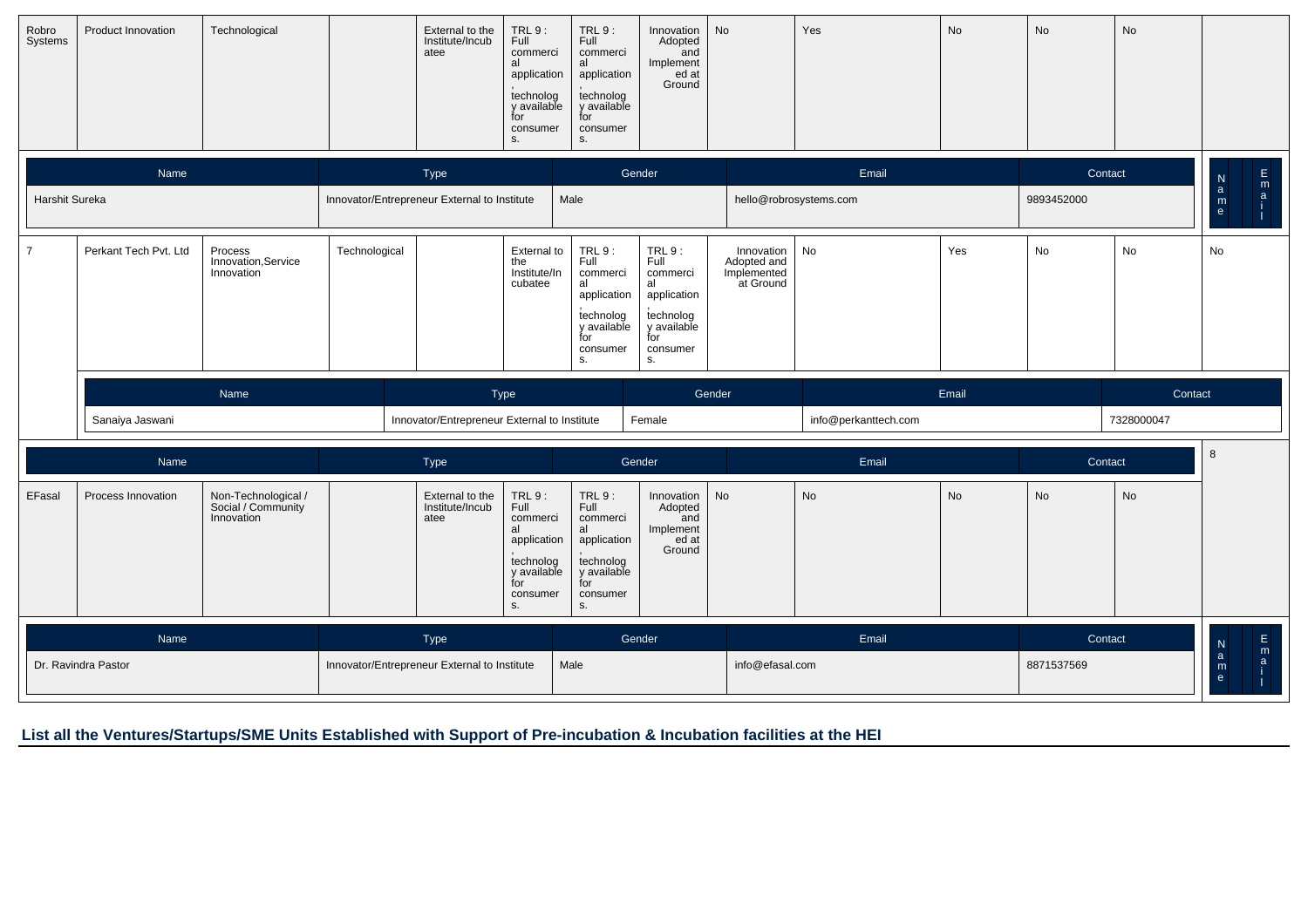| Robro<br>Systems | Product Innovation    | Technological                                           |                                              | External to the<br>Institute/Incub<br>atee   | TRL9:<br>Full<br>commerci<br>al<br>application<br>technolog<br>y available<br>for<br>consumer<br>S. | <b>TRL 9:</b><br>Full<br>commerci<br>al<br>application<br>technolog<br>y available<br>for<br>consumer<br>S. | Innovation<br>Adopted<br>and<br>Implement<br>ed at<br>Ground                                        | No                                                    | Yes                    | No        | No         | No         |                                                   |  |
|------------------|-----------------------|---------------------------------------------------------|----------------------------------------------|----------------------------------------------|-----------------------------------------------------------------------------------------------------|-------------------------------------------------------------------------------------------------------------|-----------------------------------------------------------------------------------------------------|-------------------------------------------------------|------------------------|-----------|------------|------------|---------------------------------------------------|--|
|                  | Name                  |                                                         |                                              | Type                                         |                                                                                                     | Gender                                                                                                      |                                                                                                     |                                                       | Email                  |           | Contact    |            | E<br>${\sf N}$<br>m                               |  |
| Harshit Sureka   |                       |                                                         | Innovator/Entrepreneur External to Institute |                                              |                                                                                                     | Male                                                                                                        |                                                                                                     |                                                       | hello@robrosystems.com |           | 9893452000 |            | $\mathbf{a}$<br>$\mathbf{a}$<br>m<br>$\mathbf{e}$ |  |
| $\overline{7}$   | Perkant Tech Pvt. Ltd | Process<br>Innovation, Service<br>Innovation            | Technological                                |                                              | External to<br>the<br>Institute/In<br>cubatee                                                       | <b>TRL 9:</b><br>Full<br>commerci<br>al<br>application<br>technolog<br>y available<br>for<br>consumer<br>S. | TRL9:<br>Full<br>commerci<br>al<br>application<br>technolog<br>y available<br>for<br>consumer<br>S. | Innovation<br>Adopted and<br>Implemented<br>at Ground | No                     | Yes       | No         | No         | No                                                |  |
|                  |                       | Name                                                    |                                              |                                              | Type                                                                                                |                                                                                                             |                                                                                                     | Gender                                                |                        | Email     |            | Contact    |                                                   |  |
|                  | Sanaiya Jaswani       |                                                         |                                              | Innovator/Entrepreneur External to Institute |                                                                                                     |                                                                                                             | Female                                                                                              |                                                       | info@perkanttech.com   |           |            | 7328000047 |                                                   |  |
|                  | Name                  |                                                         |                                              | Type                                         |                                                                                                     | Gender                                                                                                      |                                                                                                     |                                                       | Email                  |           | Contact    |            | 8                                                 |  |
| EFasal           | Process Innovation    | Non-Technological /<br>Social / Community<br>Innovation |                                              | External to the<br>Institute/Incub<br>atee   | TRL 9:<br>Full<br>commerci<br>al<br>application<br>technolog<br>y available<br>for                  | TRL9:<br>Full<br>commerci<br>al<br>application<br>technolog<br>y available<br>for                           | Innovation<br>Adopted<br>and<br>Implement<br>ed at<br>Ground                                        | No                                                    | No                     | <b>No</b> | No         | No         |                                                   |  |
|                  |                       |                                                         |                                              |                                              | consumer<br>s.                                                                                      | consumer<br>S.                                                                                              |                                                                                                     |                                                       |                        |           |            |            |                                                   |  |
|                  | Name                  |                                                         |                                              | Type                                         |                                                                                                     | Gender                                                                                                      |                                                                                                     |                                                       | Email                  |           | Contact    |            | E<br>$\frac{N}{a}$<br>m                           |  |

## **List all the Ventures/Startups/SME Units Established with Support of Pre-incubation & Incubation facilities at the HEI**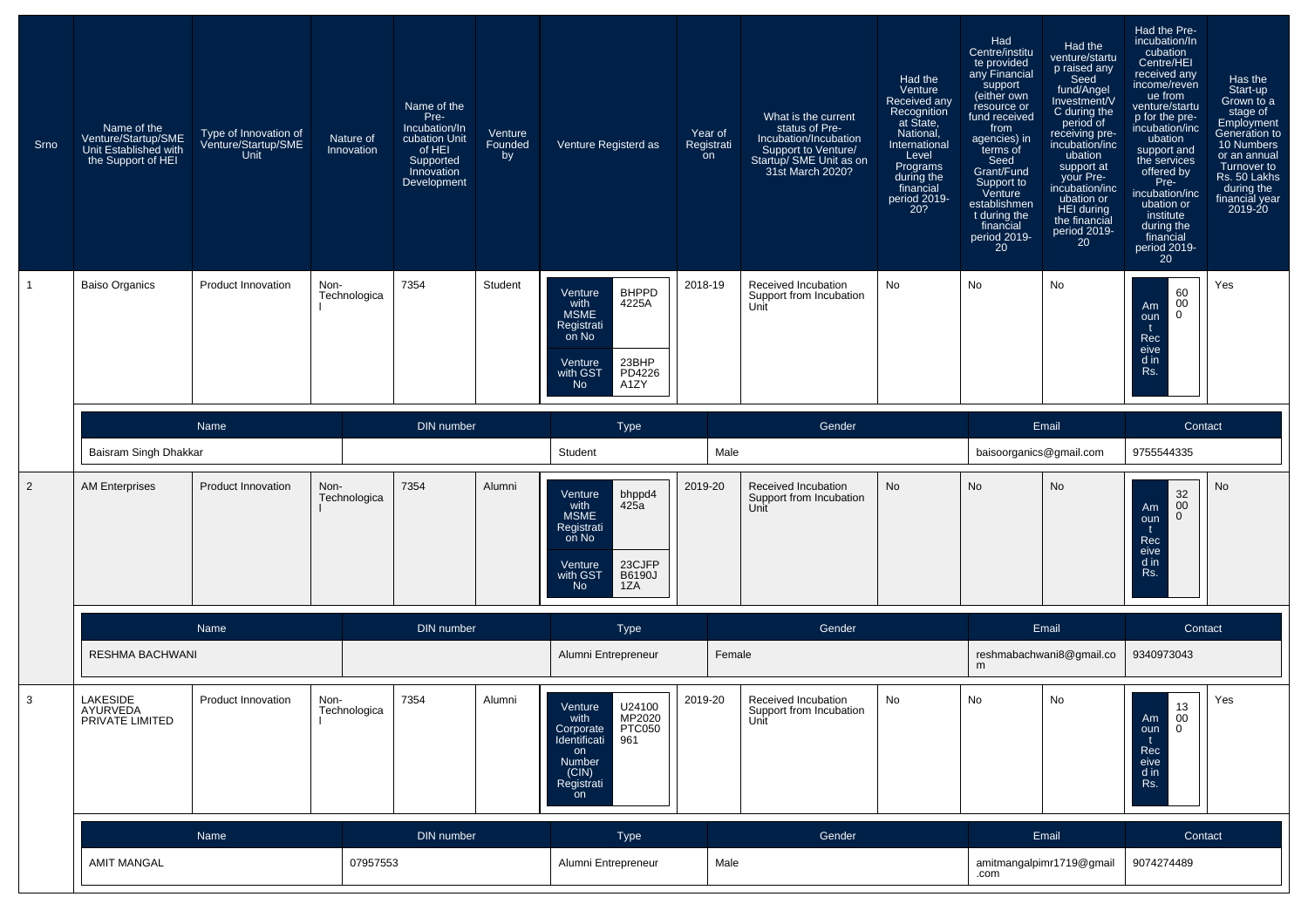| Srno           | Name of the<br>Venture/Startup/SME<br>Unit Established with<br>the Support of HEI | Type of Innovation of<br>Venture/Startup/SME<br><b>Unit</b> | Nature of<br>Innovation | Name of the<br>Pre-<br>Incubation/In<br>cubation Unit<br>of HEI<br>Supported<br>Innovation<br>Development | Venture<br>Founded<br>by | Venture Registerd as                                                                                                            | Year of<br>Registrati<br>on | What is the current<br>status of Pre-<br>Incubation/Incubation<br>Support to Venture/<br>Startup/ SME Unit as on<br>31st March 2020? | Had the<br>Venture<br><b>Received any</b><br>Recognition<br>at State,<br>National.<br>International<br>Level<br>Programs<br>during the<br>financial<br>period 2019-<br>20? | Had<br>Centre/institu<br>te provided<br>any Financial<br>support<br>(either own<br>resource or<br>fund received<br>from<br>agencies) in<br>terms of<br>Seed<br>Grant/Fund<br>Support to<br>Venture<br>establishmen<br>t during the<br>financial<br>period 2019-<br>20 | Had the<br>venture/startu<br>p raised any<br>Seed<br>fund/Angel<br>Investment/V<br>C during the<br>period of<br>receiving pre-<br>incubation/inc<br>ubation<br>support at<br>your Pre-<br>incubation/inc<br>ubation or<br>HEI during<br>the financial<br>period 2019-<br>20 | Had the Pre-<br>incubation/In<br>cubation<br>Centre/HEI<br>received any<br>income/reven<br>ue from<br>venture/startu<br>p for the pre-<br>incubation/inc<br>ubation<br>support and<br>the services<br>offered by<br>Pre-<br>incubation/inc<br>ubation or<br>institute<br>during the<br>financial<br>period 2019-<br>20 | Has the<br>Start-up<br>Grown to a<br>stage of<br>Employment<br>Generation to<br>10 Numbers<br>or an annual<br>Turnover to<br>Rs. 50 Lakhs<br>during the<br>financial year<br>2019-20 |
|----------------|-----------------------------------------------------------------------------------|-------------------------------------------------------------|-------------------------|-----------------------------------------------------------------------------------------------------------|--------------------------|---------------------------------------------------------------------------------------------------------------------------------|-----------------------------|--------------------------------------------------------------------------------------------------------------------------------------|----------------------------------------------------------------------------------------------------------------------------------------------------------------------------|-----------------------------------------------------------------------------------------------------------------------------------------------------------------------------------------------------------------------------------------------------------------------|-----------------------------------------------------------------------------------------------------------------------------------------------------------------------------------------------------------------------------------------------------------------------------|------------------------------------------------------------------------------------------------------------------------------------------------------------------------------------------------------------------------------------------------------------------------------------------------------------------------|--------------------------------------------------------------------------------------------------------------------------------------------------------------------------------------|
|                | <b>Baiso Organics</b>                                                             | Product Innovation                                          | Non-<br>Technologica    | 7354                                                                                                      | Student                  | <b>BHPPD</b><br>Venture<br>4225A<br>with<br>MSME<br>Registrati<br>on No<br>23BHP<br>Venture<br>PD4226<br>with GST<br>A1ZY<br>No | 2018-19                     | Received Incubation<br>Support from Incubation<br>Unit                                                                               | No                                                                                                                                                                         | No                                                                                                                                                                                                                                                                    | No                                                                                                                                                                                                                                                                          | 60<br>00<br>Am<br>$\mathbf{0}$<br>oun<br>Rec<br>eive<br>d in<br>Rs.                                                                                                                                                                                                                                                    | Yes                                                                                                                                                                                  |
|                | Baisram Singh Dhakkar                                                             | Name                                                        |                         | <b>DIN</b> number                                                                                         |                          | <b>Type</b><br>Student                                                                                                          | Male                        | Gender                                                                                                                               |                                                                                                                                                                            | baisoorganics@gmail.com                                                                                                                                                                                                                                               | Email                                                                                                                                                                                                                                                                       | Contact<br>9755544335                                                                                                                                                                                                                                                                                                  |                                                                                                                                                                                      |
| $\overline{2}$ | <b>AM Enterprises</b>                                                             | Product Innovation                                          | Non-<br>Technologica    | 7354                                                                                                      | Alumni                   | bhppd4<br>Venture<br>425a<br>with<br><b>MSME</b><br>Registrati<br>on No<br>23CJFP<br>Venture<br>with GST<br>B6190J<br>1ZA<br>No | 2019-20                     | Received Incubation<br>Support from Incubation<br>Unit                                                                               | No                                                                                                                                                                         | No                                                                                                                                                                                                                                                                    | No                                                                                                                                                                                                                                                                          | 32<br>00<br>Am<br>$\mathbf{0}$<br>oun<br>Rec<br>eive<br>d in<br>Rs.                                                                                                                                                                                                                                                    | No                                                                                                                                                                                   |
|                |                                                                                   | Name                                                        |                         | <b>DIN</b> number                                                                                         |                          | <b>Type</b>                                                                                                                     |                             | Gender                                                                                                                               |                                                                                                                                                                            |                                                                                                                                                                                                                                                                       | Email                                                                                                                                                                                                                                                                       | Contact                                                                                                                                                                                                                                                                                                                |                                                                                                                                                                                      |
|                | RESHMA BACHWANI                                                                   |                                                             |                         |                                                                                                           |                          | Alumni Entrepreneur                                                                                                             | Female                      |                                                                                                                                      |                                                                                                                                                                            | m                                                                                                                                                                                                                                                                     | reshmabachwani8@gmail.co                                                                                                                                                                                                                                                    | 9340973043                                                                                                                                                                                                                                                                                                             |                                                                                                                                                                                      |
| 3              | <b>LAKESIDE</b><br>AYURVEDA<br>PRIVATE LIMITED                                    | Product Innovation                                          | Non-<br>Technologica    | 7354                                                                                                      | Alumni                   | U24100<br>MP2020<br>Venture<br>with<br>PTC050<br>Corporate<br>Identificati<br>961<br>on<br>Number<br>(CIN)<br>Registrati<br>on  | 2019-20                     | Received Incubation<br>Support from incubation<br>Unit                                                                               | No                                                                                                                                                                         | No                                                                                                                                                                                                                                                                    | No                                                                                                                                                                                                                                                                          | $\begin{array}{c} 13 \\ 00 \end{array}$<br>Am<br>$\overline{0}$<br>oun<br>t<br>Rec<br>eive<br>$d$ in<br>Rs.                                                                                                                                                                                                            | Yes                                                                                                                                                                                  |
|                |                                                                                   | Name                                                        |                         | DIN number                                                                                                |                          | Type                                                                                                                            |                             | Gender                                                                                                                               |                                                                                                                                                                            |                                                                                                                                                                                                                                                                       | Email                                                                                                                                                                                                                                                                       | Contact                                                                                                                                                                                                                                                                                                                |                                                                                                                                                                                      |
|                | <b>AMIT MANGAL</b>                                                                |                                                             | 07957553                |                                                                                                           |                          | Alumni Entrepreneur                                                                                                             | Male                        |                                                                                                                                      |                                                                                                                                                                            | .com                                                                                                                                                                                                                                                                  | amitmangalpimr1719@gmail                                                                                                                                                                                                                                                    | 9074274489                                                                                                                                                                                                                                                                                                             |                                                                                                                                                                                      |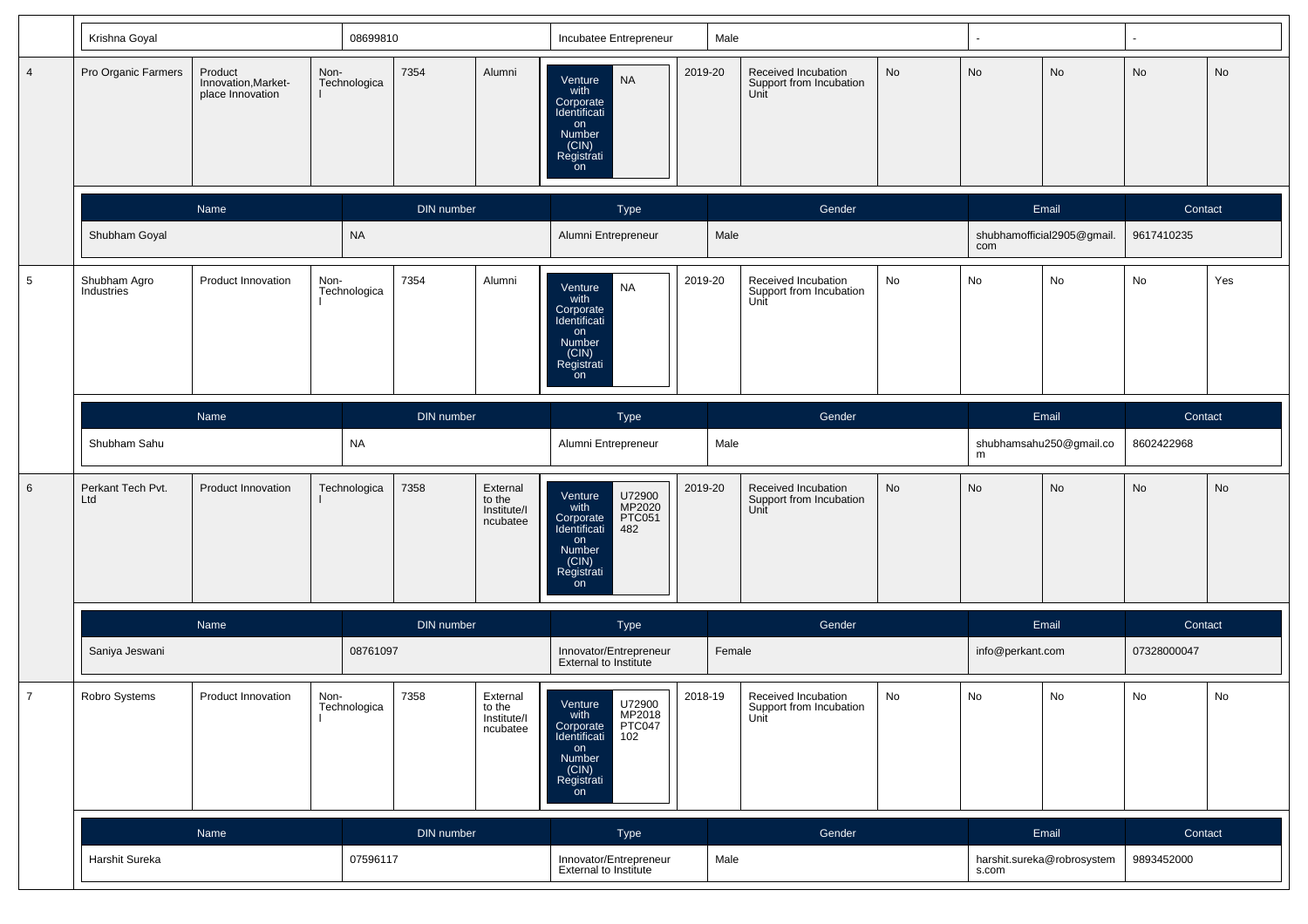|                 | Krishna Goyal              |                                                    |                      | 08699810          |                                               | Incubatee Entrepreneur                                                                                                         | Male    |                                                        |    |                  |                            | ۰.          |     |
|-----------------|----------------------------|----------------------------------------------------|----------------------|-------------------|-----------------------------------------------|--------------------------------------------------------------------------------------------------------------------------------|---------|--------------------------------------------------------|----|------------------|----------------------------|-------------|-----|
| $\overline{4}$  | Pro Organic Farmers        | Product<br>Innovation, Market-<br>place Innovation | Non-<br>Technologica | 7354              | Alumni                                        | <b>NA</b><br>Venture<br>with<br>Corporate<br>Identificati<br>on<br>Number<br>(CIN)<br>Registrati<br>on                         | 2019-20 | Received Incubation<br>Support from Incubation<br>Unit | No | No               | No                         | No          | No  |
|                 |                            | Name                                               |                      | <b>DIN</b> number |                                               | Type                                                                                                                           |         | Gender                                                 |    |                  | Email                      | Contact     |     |
|                 | Shubham Goyal              |                                                    | <b>NA</b>            |                   |                                               | Alumni Entrepreneur                                                                                                            | Male    |                                                        |    | com              | shubhamofficial2905@gmail. | 9617410235  |     |
| $5\phantom{.0}$ | Shubham Agro<br>Industries | Product Innovation                                 | Non-<br>Technologica | 7354              | Alumni                                        | <b>NA</b><br>Venture<br>with<br>Corporate<br>Identificati<br>on<br>Number<br>(CIN)<br>Registrati<br>on                         | 2019-20 | Received Incubation<br>Support from Incubation<br>Unit | No | No               | No                         | No          | Yes |
|                 |                            | Name                                               |                      | DIN number        |                                               | Type                                                                                                                           |         | Gender                                                 |    |                  | Email                      | Contact     |     |
|                 | Shubham Sahu               |                                                    | NA                   |                   |                                               | Alumni Entrepreneur                                                                                                            | Male    |                                                        |    | m                | shubhamsahu250@gmail.co    | 8602422968  |     |
| 6               | Perkant Tech Pvt.<br>Ltd   | Product Innovation                                 | Technologica         | 7358              | External<br>to the<br>Institute/I<br>ncubatee | U72900<br>Venture<br>MP2020<br>with<br>Corporate<br>PTC051<br>482<br>Identificati<br>on<br>Number<br>(CIN)<br>Registrati<br>on | 2019-20 | Received Incubation<br>Support from Incubation<br>Unit | No | No               | No                         | No          | No  |
|                 |                            | Name                                               |                      | DIN number        |                                               | Type                                                                                                                           |         | Gender                                                 |    |                  | Email                      | Contact     |     |
|                 | Saniya Jeswani             |                                                    | 08761097             |                   |                                               | Innovator/Entrepreneur<br>External to Institute                                                                                | Female  |                                                        |    | info@perkant.com |                            | 07328000047 |     |
| $\overline{7}$  | Robro Systems              | Product Innovation                                 | Non-<br>Technologica | 7358              | External<br>to the<br>Institute/I<br>ncubatee | U72900<br>Venture<br>with<br>MP2018<br>PTC047<br>102<br>Corporate<br>Identificati<br>on<br>Number<br>(CIN)<br>Registrati<br>on | 2018-19 | Received Incubation<br>Support from Incubation<br>Unit | No | No               | No                         | No          | No  |
|                 |                            | Name                                               |                      | DIN number        |                                               | Type                                                                                                                           |         | Gender                                                 |    |                  | Email                      | Contact     |     |
|                 | Harshit Sureka             |                                                    | 07596117             |                   |                                               | Innovator/Entrepreneur<br>External to Institute                                                                                | Male    |                                                        |    | s.com            | harshit.sureka@robrosystem | 9893452000  |     |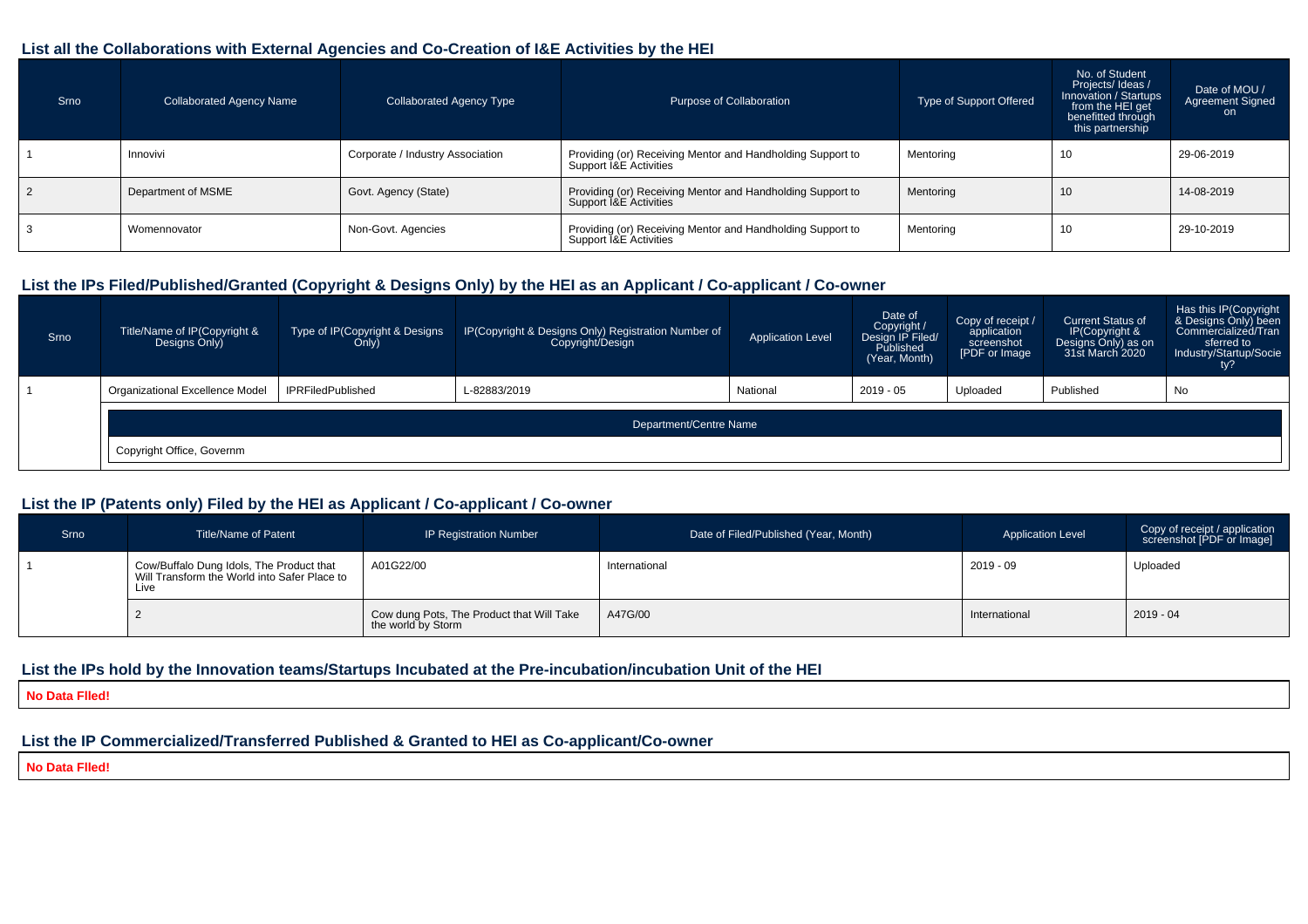### **List all the Collaborations with External Agencies and Co-Creation of I&E Activities by the HEI**

| Srno | <b>Collaborated Agency Name</b> | <b>Collaborated Agency Type</b>  | Purpose of Collaboration                                                             | Type of Support Offered | No. of Student<br>Projects/Ideas/<br>Innovation / Startups<br>from the HEI get<br>benefitted through<br>this partnership | Date of MOU /<br>Agreement Signed<br>on. |
|------|---------------------------------|----------------------------------|--------------------------------------------------------------------------------------|-------------------------|--------------------------------------------------------------------------------------------------------------------------|------------------------------------------|
|      | Innovivi                        | Corporate / Industry Association | Providing (or) Receiving Mentor and Handholding Support to<br>Support I&E Activities | Mentoring               | 10                                                                                                                       | 29-06-2019                               |
|      | Department of MSME              | Govt. Agency (State)             | Providing (or) Receiving Mentor and Handholding Support to<br>Support I&E Activities | Mentoring               | 10                                                                                                                       | 14-08-2019                               |
|      | Womennovator                    | Non-Govt. Agencies               | Providing (or) Receiving Mentor and Handholding Support to<br>Support I&E Activities | Mentoring               | 10                                                                                                                       | 29-10-2019                               |

### **List the IPs Filed/Published/Granted (Copyright & Designs Only) by the HEI as an Applicant / Co-applicant / Co-owner**

| Srno | Title/Name of IP(Copyright &<br>Designs Only) | Type of IP(Copyright & Designs<br>Only) | IP(Copyright & Designs Only) Registration Number of<br>Copyright/Design | <b>Application Level</b> | Date of<br>Copyright /<br>Design IP Filed/<br>Published<br>(Year, Month) | Copy of receipt /<br>application<br>screenshot<br>[PDF or Image] | <b>Current Status of</b><br>IP(Copyright &<br>Designs Only) as on<br>31st March 2020 | Has this IP(Copyright<br>& Designs Only) been<br>Commercialized/Tran<br>sferred to<br>Industry/Startup/Socie |  |  |  |  |
|------|-----------------------------------------------|-----------------------------------------|-------------------------------------------------------------------------|--------------------------|--------------------------------------------------------------------------|------------------------------------------------------------------|--------------------------------------------------------------------------------------|--------------------------------------------------------------------------------------------------------------|--|--|--|--|
|      | <b>Organizational Excellence Model</b>        | <b>IPRFiledPublished</b>                | L-82883/2019                                                            | National                 | 2019 - 05                                                                | Uploaded                                                         | Published                                                                            | No                                                                                                           |  |  |  |  |
|      | Department/Centre Name                        |                                         |                                                                         |                          |                                                                          |                                                                  |                                                                                      |                                                                                                              |  |  |  |  |
|      | Copyright Office, Governm                     |                                         |                                                                         |                          |                                                                          |                                                                  |                                                                                      |                                                                                                              |  |  |  |  |

### **List the IP (Patents only) Filed by the HEI as Applicant / Co-applicant / Co-owner**

| Srno | <b>Title/Name of Patent</b>                                                                      | <b>IP Registration Number</b>                                   | Date of Filed/Published (Year, Month) | <b>Application Level</b> | Copy of receipt / application<br>screenshot [PDF or Image] |
|------|--------------------------------------------------------------------------------------------------|-----------------------------------------------------------------|---------------------------------------|--------------------------|------------------------------------------------------------|
|      | Cow/Buffalo Dung Idols, The Product that<br>Will Transform the World into Safer Place to<br>Live | A01G22/00                                                       | International                         | 2019 - 09                | Uploaded                                                   |
|      |                                                                                                  | Cow dung Pots, The Product that Will Take<br>the world by Storm | A47G/00                               | International            | $2019 - 04$                                                |

#### **List the IPs hold by the Innovation teams/Startups Incubated at the Pre-incubation/incubation Unit of the HEI**

**No Data Flled!**

## **List the IP Commercialized/Transferred Published & Granted to HEI as Co-applicant/Co-owner**

**No Data Flled!**